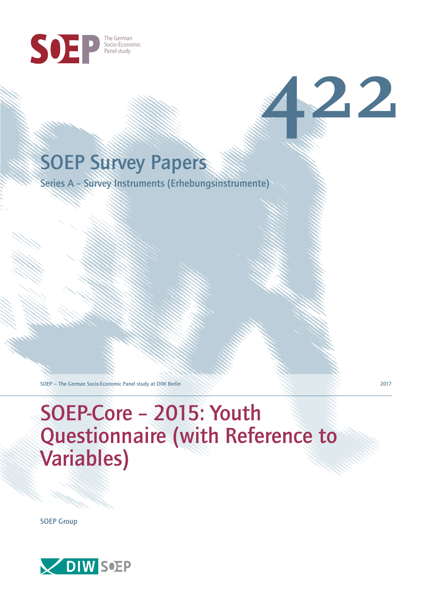

# SOEP Survey Papers

Series A – Survey Instruments (Erhebungsinstrumente)

SOEP — The German Socio-Economic Panel study at DIW Berlin 2017

# SOEP-Core – 2015: Youth Questionnaire (with Reference to Variables)

SOEP Group



**422**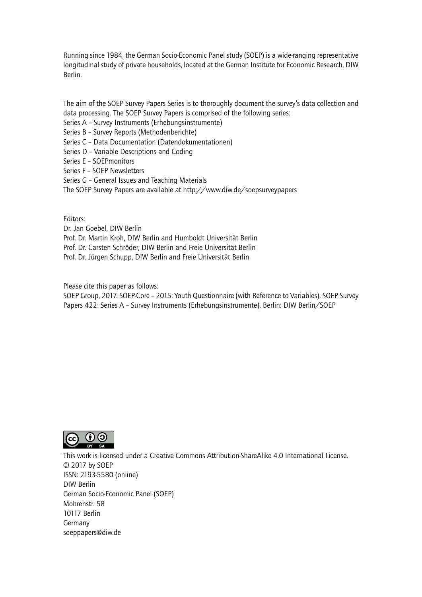Running since 1984, the German Socio-Economic Panel study (SOEP) is a wide-ranging representative longitudinal study of private households, located at the German Institute for Economic Research, DIW Berlin.

The aim of the SOEP Survey Papers Series is to thoroughly document the survey's data collection and data processing. The SOEP Survey Papers is comprised of the following series:

- Series A Survey Instruments (Erhebungsinstrumente)
- Series B Survey Reports (Methodenberichte)
- Series C Data Documentation (Datendokumentationen)
- Series D Variable Descriptions and Coding
- Series E SOEPmonitors
- Series F SOEP Newsletters
- Series G General Issues and Teaching Materials
- The SOEP Survey Papers are available at http://www.diw.de/soepsurveypapers

Editors:

Dr. Jan Goebel, DIW Berlin

- Prof. Dr. Martin Kroh, DIW Berlin and Humboldt Universität Berlin
- Prof. Dr. Carsten Schröder, DIW Berlin and Freie Universität Berlin
- Prof. Dr. Jürgen Schupp, DIW Berlin and Freie Universität Berlin

Please cite this paper as follows:

SOEP Group, 2017. SOEP-Core – 2015: Youth Questionnaire (with Reference to Variables). SOEP Survey Papers 422: Series A – Survey Instruments (Erhebungsinstrumente). Berlin: DIW Berlin/SOEP



This work is licensed under a Creative Commons Attribution-ShareAlike 4.0 International License. © 2017 by SOEP ISSN: 2193-5580 (online) DIW Berlin German Socio-Economic Pan[el \(SOEP\)](http://creativecommons.org/licenses/by-sa/4.0/) Mohrenstr. 58 10117 Berlin Germany soeppapers@diw.de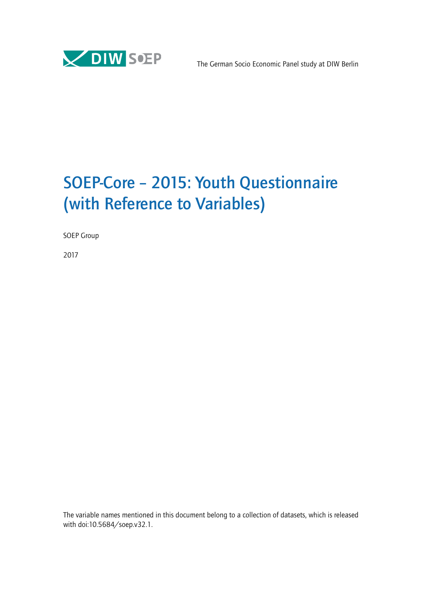

# SOEP-Core – 2015: Youth Questionnaire (with Reference to Variables)

SOEP Group

2017

The variable names mentioned in this document belong to a collection of datasets, which is released with doi:10.5684/soep.v32.1.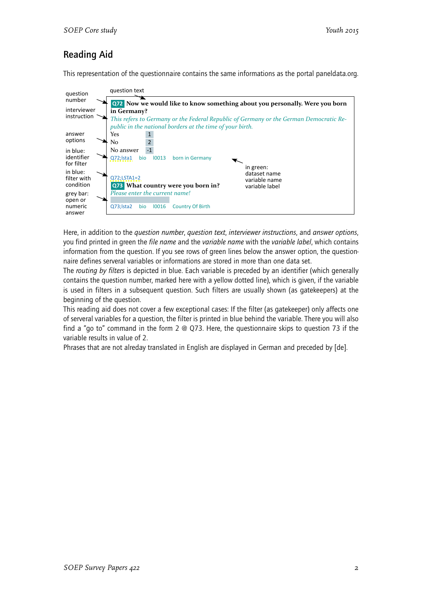# Reading Aid

This representation of the questionnaire contains the same informations as the portal paneldata.org.



Here, in addition to the *question number*, *question text*, *interviewer instructions*, and *answer options*, you find printed in green the *file name* and the *variable name* with the *variable label*, which contains information from the question. If you see rows of green lines below the answer option, the questionnaire defines serveral variables or informations are stored in more than one data set.

The *routing by filters* is depicted in blue. Each variable is preceded by an identifier (which generally contains the question number, marked here with a yellow dotted line), which is given, if the variable is used in filters in a subsequent question. Such filters are usually shown (as gatekeepers) at the beginning of the question.

This reading aid does not cover a few exceptional cases: If the filter (as gatekeeper) only affects one of serveral variables for a question, the filter is printed in blue behind the variable. There you will also find a "go to" command in the form 2 @ Q73. Here, the questionnaire skips to question 73 if the variable results in value of 2.

Phrases that are not alreday translated in English are displayed in German and preceded by [de].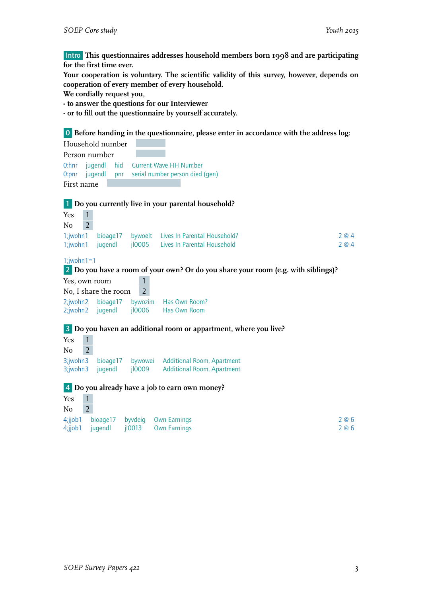Intro **This questionnaires addresses household members born 1998 and are participating for the first time ever.**

**Your cooperation is voluntary. The scientific validity of this survey, however, depends on cooperation of every member of every household.**

**We cordially request you,**

**- to answer the questions for our Interviewer**

**- or to fill out the questionnaire by yourself accurately.**

0 **Before handing in the questionnaire, please enter in accordance with the address log:**

|                      | Household number     |                                    |                                                                                   |       |
|----------------------|----------------------|------------------------------------|-----------------------------------------------------------------------------------|-------|
| Person number        |                      |                                    |                                                                                   |       |
| $0:$ hnr             | jugendl<br>hid       |                                    | <b>Current Wave HH Number</b>                                                     |       |
| $0:$ pnr             | jugendl              |                                    | pnr serial number person died (gen)                                               |       |
| First name           |                      |                                    |                                                                                   |       |
|                      |                      |                                    |                                                                                   |       |
|                      |                      |                                    | <b>1</b> Do you currently live in your parental household?                        |       |
| $\mathbf{1}$<br>Yes  |                      |                                    |                                                                                   |       |
| $\overline{2}$<br>No |                      |                                    |                                                                                   |       |
| 1;jwohn1             | bioage17             | bywoelt                            | Lives In Parental Household?                                                      | 2@4   |
| 1;jwohn1             | jugendl              | 10005                              | Lives In Parental Household                                                       | 2@4   |
|                      |                      |                                    |                                                                                   |       |
| $1$ ; jwohn $1=1$    |                      |                                    |                                                                                   |       |
|                      |                      |                                    | 2 Do you have a room of your own? Or do you share your room (e.g. with siblings)? |       |
| Yes, own room        |                      |                                    |                                                                                   |       |
|                      | No, I share the room | $\overline{2}$                     |                                                                                   |       |
| 2;jwohn2             | bioage17             | bywozim                            | Has Own Room?                                                                     |       |
| 2;jwohn2             | jugendl              | jl0006                             | Has Own Room                                                                      |       |
|                      |                      |                                    |                                                                                   |       |
|                      |                      |                                    | 3 Do you haven an additional room or appartment, where you live?                  |       |
| $\mathbf{1}$<br>Yes  |                      |                                    |                                                                                   |       |
| $\overline{2}$<br>No |                      |                                    |                                                                                   |       |
| 3;jwohn3             | bioage17             | bywowei                            | <b>Additional Room, Apartment</b>                                                 |       |
| 3;jwohn3             | jugendl              | jl0009                             | <b>Additional Room, Apartment</b>                                                 |       |
|                      |                      |                                    |                                                                                   |       |
|                      |                      |                                    | 4 Do you already have a job to earn own money?                                    |       |
| $\mathbf{1}$<br>Yes  |                      |                                    |                                                                                   |       |
| $\overline{2}$<br>No |                      |                                    |                                                                                   |       |
|                      |                      | Aijah bisara17 hudaja Oun Farnings |                                                                                   | າ ຈ ເ |

|  | 4;jjob1 bioage17 byvdeig Own-Earnings | 2 @ 6 |
|--|---------------------------------------|-------|
|  | 4;jjob1 jugendl jl0013 Own Earnings   | 2 @ 6 |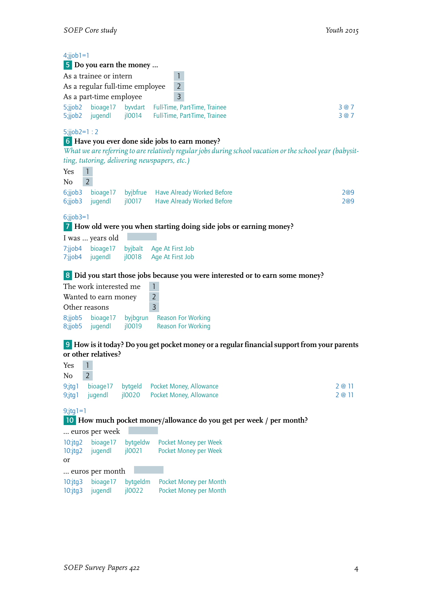| $4$ ;jjob $1=1$<br>5;jjob2<br>5;jjob2            | As a trainee or intern<br>As a part-time employee<br>bioage17<br>jugendl      | 5 Do you earn the money<br>As a regular full-time employee | $\mathbf{1}$<br>$\overline{2}$<br>$\overline{3}$<br>byvdart Full-Time, Part-Time, Trainee<br>jl0014 Full-Time, Part-Time, Trainee                                                                                                       | 3@7<br>3@7       |
|--------------------------------------------------|-------------------------------------------------------------------------------|------------------------------------------------------------|-----------------------------------------------------------------------------------------------------------------------------------------------------------------------------------------------------------------------------------------|------------------|
| $5$ ;jjob2=1:2<br>Yes<br>No                      | $\mathbf{1}$<br>$\overline{2}$                                                | 6;jjob3 bioage17 byjbfrue                                  | 6 Have you ever done side jobs to earn money?<br>What we are referring to are relatively regular jobs during school vacation or the school year (babysit-<br>ting, tutoring, delivering newspapers, etc.)<br>Have Already Worked Before | 2@9              |
| 6;jjob3<br>$6$ ;jjob $3=1$<br>7:jjob4<br>7:jjob4 | jugendl<br>I was  years old<br>bioage17<br>jugendl                            | jl0017<br>jl0018                                           | Have Already Worked Before<br>7 How old were you when starting doing side jobs or earning money?<br>byjbalt Age At First Job<br>Age At First Job                                                                                        | 2@9              |
| Other reasons<br>8;jjob5                         | The work interested me<br>Wanted to earn money<br>8;jjob5 bioage17<br>jugendl | jl0019                                                     | 8 Did you start those jobs because you were interested or to earn some money?<br>$\mathbf{1}$<br>$\overline{2}$<br>$\overline{3}$<br>byjbgrun Reason For Working<br><b>Reason For Working</b>                                           |                  |
| $Yes \t 1$                                       | or other relatives?<br>$\overline{2}$                                         |                                                            | 9 How is it today? Do you get pocket money or a regular financial support from your parents                                                                                                                                             |                  |
| No<br>$9$ ;jtg $1$<br>$9$ ;jtg1                  | bioage17<br>jugendl                                                           | bytgeld<br>jl0020                                          | Pocket Money, Allowance<br>Pocket Money, Allowance                                                                                                                                                                                      | 2 @ 11<br>2 @ 11 |
| $9$ ;jtg 1 = 1                                   | euros per week                                                                |                                                            | 10 How much pocket money/allowance do you get per week / per month?                                                                                                                                                                     |                  |
| $10$ : $jtg2$<br>$10$ : jtg $2$<br>or            | bioage17<br>jugendl                                                           | bytgeldw<br>j10021                                         | Pocket Money per Week<br>Pocket Money per Week                                                                                                                                                                                          |                  |
| $10$ : $jtg3$<br>$10$ : jtg $3$                  | euros per month<br>bioage17<br>jugendl                                        | bytgeldm<br>j10022                                         | Pocket Money per Month<br>Pocket Money per Month                                                                                                                                                                                        |                  |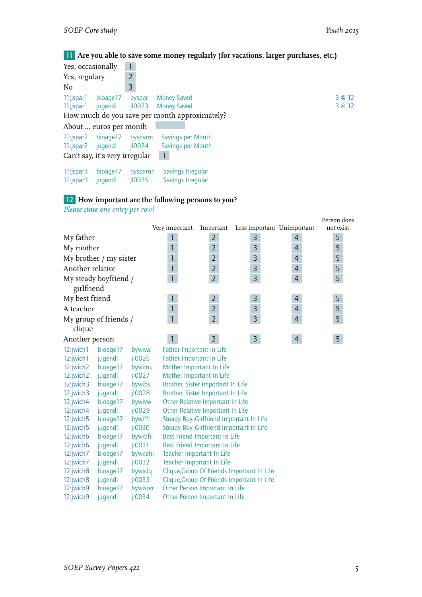11 **Are you able to save some money regularly (for vacations, larger purchases, etc.)**

| Yes, occasionally                              |                                |                   |                                                                                           |                  |
|------------------------------------------------|--------------------------------|-------------------|-------------------------------------------------------------------------------------------|------------------|
| Yes, regulary                                  |                                | $\overline{2}$    |                                                                                           |                  |
| No                                             |                                | 3                 |                                                                                           |                  |
| 11;jspar1<br>11; spar1 jugendl                 | bioage17                       | byspar            | <b>Money Saved</b><br>jl0023 Money Saved<br>How much do you save per month approximately? | 3 @ 12<br>3 @ 12 |
|                                                | About  euros per month         |                   |                                                                                           |                  |
| $11$ : jspar $2$<br>11:jspar2 jugendl          | bioage17                       | bysparm<br>jl0024 | Savings per Month<br>Savings per Month                                                    |                  |
|                                                | Can't say, it's very irregular |                   |                                                                                           |                  |
| $11$ : jspar $3$<br>$11$ : $\frac{1}{2}$ spar3 | bioage17<br>jugendl            | bysparun<br>10025 | Savings Irregular<br>Savings Irregular                                                    |                  |

# 12 **How important are the following persons to you?**

12:jwich9 jugendl jl0034 Other Person Important In Life

*Please state one entry per row!*

|                  |                        |           |                          |                                           |                                            |                | Person does |
|------------------|------------------------|-----------|--------------------------|-------------------------------------------|--------------------------------------------|----------------|-------------|
|                  |                        |           | Very important           | Important                                 | Less important Unimportant                 |                | not exist   |
| My father        |                        |           | 1                        | $\overline{2}$                            | 3                                          | $\overline{4}$ | 5           |
| My mother        |                        |           | $\mathbf{1}$             | $\overline{2}$                            | 3                                          | $\overline{4}$ | 5           |
|                  | My brother / my sister |           | $\mathbf{1}$             | $\overline{2}$                            | 3                                          | 4              | 5           |
| Another relative |                        |           | $\mathbf{1}$             | $\overline{2}$                            | $\overline{3}$                             | $\overline{4}$ | 5           |
|                  | My steady boyfriend /  |           | $\mathbf{1}$             | $\overline{2}$                            | $\overline{3}$                             | $\overline{4}$ | 5           |
| girlfriend       |                        |           |                          |                                           |                                            |                |             |
|                  |                        |           |                          |                                           |                                            |                |             |
| My best friend   |                        |           | $\mathbf{1}$             | $\overline{2}$                            | 3                                          | 4              | 5           |
| A teacher        |                        |           | $\overline{1}$           | $\overline{2}$                            | $\overline{3}$                             | $\overline{4}$ | 5           |
|                  | My group of friends /  |           | $\overline{1}$           | $\overline{2}$                            | $\overline{3}$                             | $\overline{4}$ | 5           |
| clique           |                        |           |                          |                                           |                                            |                |             |
| Another person   |                        |           | $\mathbf{1}$             | $\overline{2}$                            | $\mathsf{3}$                               | $\overline{4}$ | 5           |
| 12:jwich1        | bioage17               | bywiva    | Father Important In Life |                                           |                                            |                |             |
| 12:jwich1        | jugendl                | j10026    | Father Important In Life |                                           |                                            |                |             |
| 12:jwich2        | bioage17               | bywimu    |                          | Mother Important In Life                  |                                            |                |             |
| 12:jwich2        | jugendl                | j10027    |                          | Mother Important In Life                  |                                            |                |             |
| 12:jwich3        | bioage17               | bywibs    |                          | Brother, Sister Important In Life         |                                            |                |             |
| 12:jwich3        | jugendl                | jl0028    |                          | Brother, Sister Important In Life         |                                            |                |             |
| 12:jwich4        | bioage17               | bywivw    |                          | Other Relative Important In Life          |                                            |                |             |
| 12:jwich4        | jugendl                | j10029    |                          | Other Relative Important In Life          |                                            |                |             |
| 12:jwich5        | bioage17               | bywiffr   |                          | Steady Boy-, Girlfriend Important In Life |                                            |                |             |
| 12:jwich5        | jugendl                | jl0030    |                          | Steady Boy-, Girlfriend Important In Life |                                            |                |             |
| 12:jwich6        | bioage17               | bywibfr   |                          | Best Friend Important In Life             |                                            |                |             |
| 12:jwich6        | jugendl                | $i$ l0031 |                          | Best Friend Important In Life             |                                            |                |             |
| 12:jwich7        | bioage17               | bywilehr  |                          | Teacher Important In Life                 |                                            |                |             |
| 12:jwich7        | jugendl                | j10032    |                          | Teacher Important In Life                 |                                            |                |             |
| 12:jwich8        | bioage17               | bywiclq   |                          |                                           | Clique, Group Of Friends Important In Life |                |             |
| 12:jwich8        | jugendl                | $i$ looss |                          |                                           | Clique, Group Of Friends Important In Life |                |             |
| 12:jwich9        | bioage17               | bywison   |                          | Other Person Important In Life            |                                            |                |             |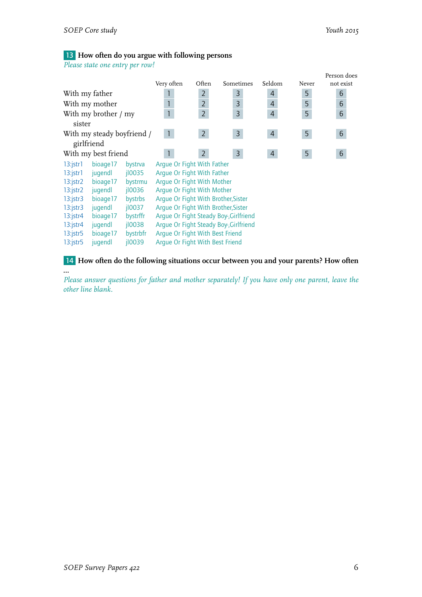**…**

# 13 **How often do you argue with following persons**

*Please state one entry per row!*

|                 |                            |           | Very often                          | Often          | Sometimes                              | Seldom         | Never | Person does<br>not exist |
|-----------------|----------------------------|-----------|-------------------------------------|----------------|----------------------------------------|----------------|-------|--------------------------|
| With my father  |                            |           |                                     | $\overline{2}$ | 3                                      | 4              | 5     | 6                        |
|                 | With my mother             |           |                                     | $\overline{2}$ | 3                                      | $\overline{4}$ | 5     | 6                        |
|                 | With my brother / my       |           |                                     | $\overline{2}$ | $\overline{3}$                         | $\overline{4}$ | 5     | 6                        |
| sister          |                            |           |                                     |                |                                        |                |       |                          |
|                 | With my steady boyfriend / |           | $\mathbf{1}$                        | 2 <sup>7</sup> | $\overline{3}$                         | $\overline{4}$ | 5     | 6                        |
| girlfriend      |                            |           |                                     |                |                                        |                |       |                          |
|                 | With my best friend        |           |                                     | $2^{\circ}$    | $\overline{3}$                         | $\overline{4}$ | 5     | 6                        |
| $13:$ jstr $1$  | bioage17                   | bystrva   | Argue Or Fight With Father          |                |                                        |                |       |                          |
| $13$ : jstr $1$ | jugendl                    | j10035    | Arque Or Fight With Father          |                |                                        |                |       |                          |
| $13:$ jstr $2$  | bioage17                   | bystrmu   | Argue Or Fight With Mother          |                |                                        |                |       |                          |
| $13:$ jstr $2$  | jugendl                    | 10036     | Arque Or Fight With Mother          |                |                                        |                |       |                          |
| $13:$ jstr $3$  | bioage17                   | bystrbs   | Arque Or Fight With Brother, Sister |                |                                        |                |       |                          |
| $13:$ jstr $3$  | jugendl                    | 10037     | Arque Or Fight With Brother, Sister |                |                                        |                |       |                          |
| $13$ : jstr $4$ | bioage17                   | bystrffr  |                                     |                | Arque Or Fight Steady Boy-, Girlfriend |                |       |                          |
| $13$ : jstr $4$ | jugendl                    | $i$ l0038 |                                     |                | Arque Or Fight Steady Boy-, Girlfriend |                |       |                          |
| $13:$ jstr $5$  | bioage17                   | bystrbfr  | Arque Or Fight With Best Friend     |                |                                        |                |       |                          |
| $13:$ jstr $5$  | jugendl                    | 10039     | Arque Or Fight With Best Friend     |                |                                        |                |       |                          |

14 **How often do the following situations occur between you and your parents? How often**

*Please answer questions for father and mother separately! If you have only one parent, leave the other line blank.*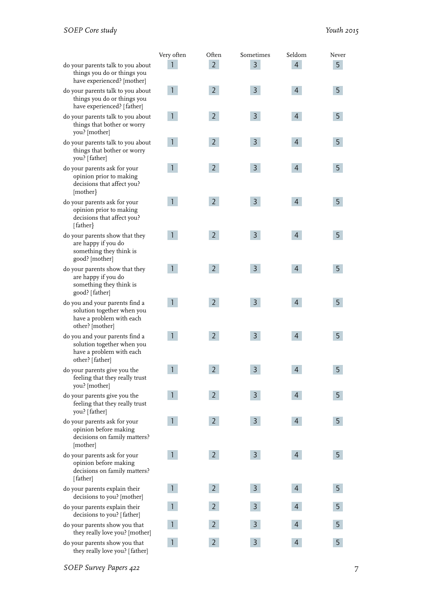|                                                                                                             | Very often   | Often          | Sometimes               | Seldom         | Never |
|-------------------------------------------------------------------------------------------------------------|--------------|----------------|-------------------------|----------------|-------|
| do your parents talk to you about<br>things you do or things you<br>have experienced? [mother]              |              | $\overline{2}$ | 3                       | $\overline{4}$ | 5     |
| do your parents talk to you about<br>things you do or things you<br>have experienced? [father]              | $\mathbf{1}$ | $2^{\circ}$    | $\overline{3}$          | $\overline{4}$ | 5     |
| do your parents talk to you about<br>things that bother or worry<br>you? [mother]                           | 1.           | $2^{\circ}$    | $\overline{3}$          | $\overline{4}$ | 5     |
| do your parents talk to you about<br>things that bother or worry<br>you? [father]                           |              | $\overline{2}$ | $\overline{3}$          | $\overline{4}$ | 5     |
| do your parents ask for your<br>opinion prior to making<br>decisions that affect you?<br>[mother]           |              | $\overline{2}$ | $\overline{3}$          | $\overline{4}$ | 5     |
| do your parents ask for your<br>opinion prior to making<br>decisions that affect you?<br>[father]           | 1.           | 2 <sup>1</sup> | $\overline{3}$          | $\overline{4}$ | 5     |
| do your parents show that they<br>are happy if you do<br>something they think is<br>good? [mother]          | 1            | $2^{\circ}$    | $\overline{3}$          | $\overline{4}$ | 5     |
| do your parents show that they<br>are happy if you do<br>something they think is<br>good? [father]          | $\mathbf{1}$ | $\overline{2}$ | $\overline{3}$          | $\overline{4}$ | 5     |
| do you and your parents find a<br>solution together when you<br>have a problem with each<br>other? [mother] | $\mathbf{1}$ | $\overline{2}$ | $\overline{3}$          | $\overline{4}$ | 5     |
| do you and your parents find a<br>solution together when you<br>have a problem with each<br>other? [father] | $\mathbf{1}$ | $\overline{2}$ | $\overline{3}$          | $\overline{4}$ | 5     |
| do your parents give you the<br>feeling that they really trust<br>you? [mother]                             | $\mathbf{1}$ | $\overline{c}$ | $\overline{\mathbf{z}}$ |                | Е     |
| do your parents give you the<br>feeling that they really trust<br>you? [father]                             | $\mathbf{1}$ | $\overline{2}$ | $\mathsf{3}$            | $\overline{4}$ | 5     |
| do your parents ask for your<br>opinion before making<br>decisions on family matters?<br>[mother]           | $\mathbf{1}$ | $2^{\circ}$    | $\mathsf{3}$            | $\overline{4}$ | 5     |
| do your parents ask for your<br>opinion before making<br>decisions on family matters?<br>[father]           | $\mathbf{1}$ | 2 <sup>1</sup> | $\mathsf{3}$            | $\overline{4}$ | 5     |
| do your parents explain their<br>decisions to you? [mother]                                                 | $\mathbf{1}$ | $\overline{2}$ | $\mathsf{3}$            | $\overline{4}$ | 5     |
| do your parents explain their<br>decisions to you? [father]                                                 |              | $\mathbf{2}$   | 3                       | 4              | 5     |
| do your parents show you that<br>they really love you? [mother]                                             |              | $\overline{2}$ | $\overline{3}$          | 4              | 5     |
| do your parents show you that<br>they really love you? [father]                                             | 1            | $\overline{2}$ | 3                       | 4              | 5     |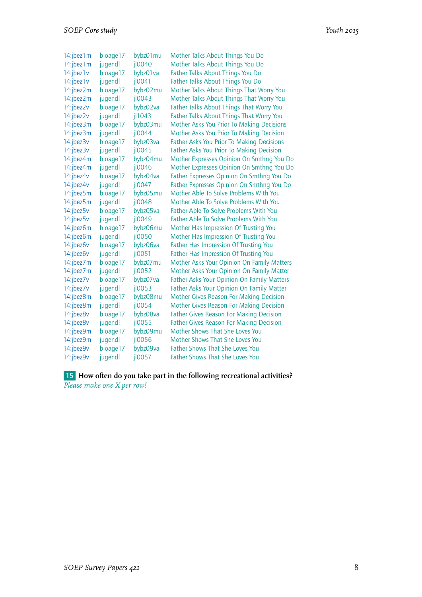| 14:jbez1m | bioage17 | bybz01 mu            | Mother Talks About Things You Do                 |
|-----------|----------|----------------------|--------------------------------------------------|
| 14:jbez1m | jugendl  | jl0040               | Mother Talks About Things You Do                 |
| 14:jbez1v | bioage17 | bybz01 va            | Father Talks About Things You Do                 |
| 14:jbez1v | jugendl  | jl0041               | Father Talks About Things You Do                 |
| 14:jbez2m | bioage17 | bybz02mu             | Mother Talks About Things That Worry You         |
| 14:jbez2m | jugendl  | $i$ l0043            | Mother Talks About Things That Worry You         |
| 14:jbez2v | bioage17 | bybz02va             | Father Talks About Things That Worry You         |
| 14:jbez2v | jugendl  | jl1043               | Father Talks About Things That Worry You         |
| 14:jbez3m | bioage17 | bybz03mu             | Mother Asks You Prior To Making Decisions        |
| 14:jbez3m | jugendl  | jl0044               | Mother Asks You Prior To Making Decision         |
| 14:jbez3v | bioage17 | bybz03va             | <b>Father Asks You Prior To Making Decisions</b> |
| 14:jbez3v | jugendl  | jl0045               | Father Asks You Prior To Making Decision         |
| 14:jbez4m | bioage17 | bybz04mu             | Mother Expresses Opinion On Smthng You Do        |
| 14:jbez4m | jugendl  | jl0046               | Mother Expresses Opinion On Smthng You Do        |
| 14:jbez4v | bioage17 | bybz04va             | Father Expresses Opinion On Smthng You Do        |
| 14:jbez4v | jugendl  | jl0047               | Father Expresses Opinion On Smthng You Do        |
| 14:jbez5m | bioage17 | bybz05mu             | Mother Able To Solve Problems With You           |
| 14:jbez5m | jugendl  | $i$ <sub>10048</sub> | Mother Able To Solve Problems With You           |
| 14:jbez5v | bioage17 | bybz05va             | <b>Father Able To Solve Problems With You</b>    |
| 14:jbez5v | jugendl  | jl0049               | <b>Father Able To Solve Problems With You</b>    |
| 14:jbez6m | bioage17 | bybz06mu             | Mother Has Impression Of Trusting You            |
| 14:jbez6m | jugendl  | jl0050               | Mother Has Impression Of Trusting You            |
| 14:jbez6v | bioage17 | bybz06va             | Father Has Impression Of Trusting You            |
| 14:jbez6v | jugendl  | jl0051               | Father Has Impression Of Trusting You            |
| 14:jbez7m | bioage17 | bybz07mu             | Mother Asks Your Opinion On Family Matters       |
| 14:jbez7m | jugendl  | jl0052               | Mother Asks Your Opinion On Family Matter        |
| 14:jbez7v | bioage17 | bybz07va             | Father Asks Your Opinion On Family Matters       |
| 14:jbez7v | jugendl  | jl0053               | Father Asks Your Opinion On Family Matter        |
| 14:jbez8m | bioage17 | bybz08mu             | <b>Mother Gives Reason For Making Decision</b>   |
| 14:jbez8m | jugendl  | jl0054               | <b>Mother Gives Reason For Making Decision</b>   |
| 14:jbez8v | bioage17 | bybz08va             | <b>Father Gives Reason For Making Decision</b>   |
| 14:jbez8v | jugendl  | jl0055               | <b>Father Gives Reason For Making Decision</b>   |
| 14:jbez9m | bioage17 | bybz09mu             | Mother Shows That She Loves You                  |
| 14:jbez9m | jugendl  | jl0056               | Mother Shows That She Loves You                  |
| 14:jbez9v | bioage17 | bybz09va             | <b>Father Shows That She Loves You</b>           |
| 14:jbez9v | jugendl  | jl0057               | Father Shows That She Loves You                  |

15 **How often do you take part in the following recreational activities?** *Please make one X per row!*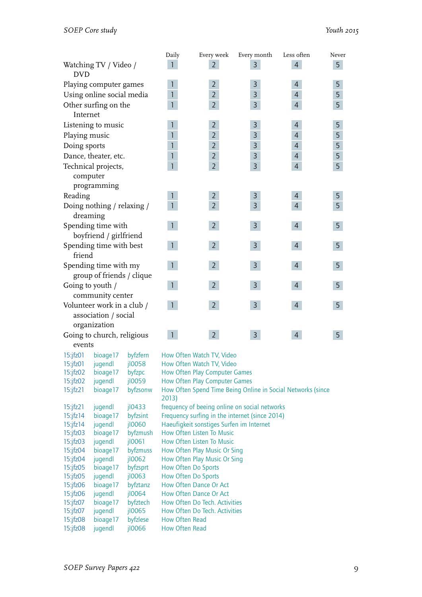|                                                                    |                                      |                    | Daily                                          | Every week                                                            | Every month                                                 | Less often     | Never |  |
|--------------------------------------------------------------------|--------------------------------------|--------------------|------------------------------------------------|-----------------------------------------------------------------------|-------------------------------------------------------------|----------------|-------|--|
| <b>DVD</b>                                                         | Watching TV / Video /                |                    | 1                                              | $\overline{2}$                                                        | $\overline{3}$                                              | $\overline{4}$ | 5     |  |
|                                                                    | Playing computer games               |                    | 1                                              | $\overline{2}$                                                        | 3                                                           | 4              | 5     |  |
|                                                                    | Using online social media            |                    | $\mathbf{1}$                                   | $\overline{2}$                                                        | 3                                                           | $\overline{4}$ | 5     |  |
| Internet                                                           | Other surfing on the                 |                    | $\mathbf{1}$                                   | $\overline{2}$                                                        | 3                                                           | $\overline{4}$ | 5     |  |
|                                                                    | Listening to music                   |                    | 1                                              | $\overline{2}$                                                        | 3                                                           | 4              | 5     |  |
| Playing music                                                      |                                      |                    | $\mathbf{1}$                                   | $\overline{2}$                                                        | 3                                                           | $\overline{4}$ | 5     |  |
| Doing sports                                                       |                                      |                    | $\mathbf{1}$                                   | $\overline{2}$                                                        | 3                                                           | $\overline{4}$ | 5     |  |
|                                                                    | Dance, theater, etc.                 |                    | $\mathbf{1}$                                   | $\overline{2}$                                                        | 3                                                           | $\overline{4}$ | 5     |  |
|                                                                    | Technical projects,<br>computer      |                    | $\mathbf{1}$                                   | $\overline{2}$                                                        | 3                                                           | $\overline{4}$ | 5     |  |
|                                                                    | programming                          |                    |                                                |                                                                       |                                                             |                |       |  |
| Reading                                                            |                                      |                    | 1                                              | $\overline{2}$                                                        | 3                                                           | $\overline{4}$ | 5     |  |
| Doing nothing / relaxing /<br>dreaming                             |                                      |                    |                                                | $\overline{2}$                                                        | $\overline{3}$                                              | $\overline{4}$ | 5     |  |
| Spending time with<br>boyfriend / girlfriend                       |                                      |                    |                                                | $2^{\circ}$                                                           | $\overline{3}$                                              | $\overline{4}$ | 5     |  |
| Spending time with best<br>friend                                  |                                      |                    | $\mathbf{1}$                                   | $\overline{2}$                                                        | $\mathsf{3}$                                                | $\overline{4}$ | 5     |  |
| Spending time with my<br>group of friends / clique                 |                                      |                    |                                                | $\overline{2}$                                                        | $\overline{3}$                                              | $\overline{4}$ | 5     |  |
|                                                                    | Going to youth /<br>community center |                    | $\mathbf{1}$                                   | $2^{\circ}$                                                           | 3                                                           | 4              | 5     |  |
| Volunteer work in a club /<br>association / social<br>organization |                                      |                    | $\mathbf{1}$                                   | $\overline{2}$                                                        | $\overline{3}$                                              | $\overline{4}$ | 5     |  |
| events                                                             | Going to church, religious           |                    |                                                | $2^{\circ}$                                                           | $\mathsf{3}$                                                | $\overline{4}$ | 5     |  |
| $15$ :jfz01                                                        | bioage17                             | byfzfern           |                                                | How Often Watch TV, Video                                             |                                                             |                |       |  |
| $15:$ jfz $01$                                                     | jugendl                              | jl0058             |                                                | How Often Watch TV, Video                                             |                                                             |                |       |  |
| $15$ : $fz02$                                                      | bioage17                             | byfzpc             |                                                | How Often Play Computer Games                                         |                                                             |                |       |  |
| $15$ :jfz $02$                                                     | jugendl                              | jl0059             |                                                | How Often Play Computer Games                                         |                                                             |                |       |  |
| $15$ :jfz $21$                                                     | bioage17                             | byfzsonw           | 2013)                                          |                                                                       | How Often Spend Time Being Online in Social Networks (since |                |       |  |
| $15:$ jfz $21$                                                     | jugendl                              | jl0433             |                                                |                                                                       | frequency of beeing online on social networks               |                |       |  |
| $15$ :jfz $14$                                                     | bioage17                             | byfzsint           | Frequency surfing in the internet (since 2014) |                                                                       |                                                             |                |       |  |
| $15$ :jfz $14$<br>15.7702                                          | jugendl<br>hioago17                  | jl0060<br>hyfamuch |                                                | Haeufigkeit sonstiges Surfen im Internet<br>How Ofton Liston To Music |                                                             |                |       |  |
|                                                                    |                                      |                    |                                                |                                                                       |                                                             |                |       |  |

| $\cdots$       | 149      | .                    | nabangkon sonstigos sanon ini mitomet |
|----------------|----------|----------------------|---------------------------------------|
| $15:$ jfz $03$ | bioage17 | byfzmush             | How Often Listen To Music             |
| $15:$ jfz $03$ | jugendl  | $i$ loo $61$         | How Often Listen To Music             |
| $15:$ jfz $04$ | bioage17 | byfzmuss             | How Often Play Music Or Sing          |
| $15:$ jfz04    | jugendl  | 10062                | How Often Play Music Or Sing          |
| $15:$ jfz $05$ | bioage17 | byfzsprt             | How Often Do Sports                   |
| $15:$ jfz $05$ | jugendl  | 10063                | How Often Do Sports                   |
| $15:$ jfz $06$ | bioage17 | byfztanz             | How Often Dance Or Act                |
| $15:$ jfz $06$ | jugendl  | $i$ <sub>10064</sub> | How Often Dance Or Act                |
| $15$ : $fz07$  | bioage17 | byfztech             | How Often Do Tech. Activities         |
| $15:$ jfz $07$ | jugendl  | 10065                | How Often Do Tech. Activities         |
| $15:$ jfz $08$ | bioage17 | byfzlese             | How Often Read                        |
| $15:$ jfz $08$ | jugendl  | $i$ <sub>10066</sub> | How Often Read                        |
|                |          |                      |                                       |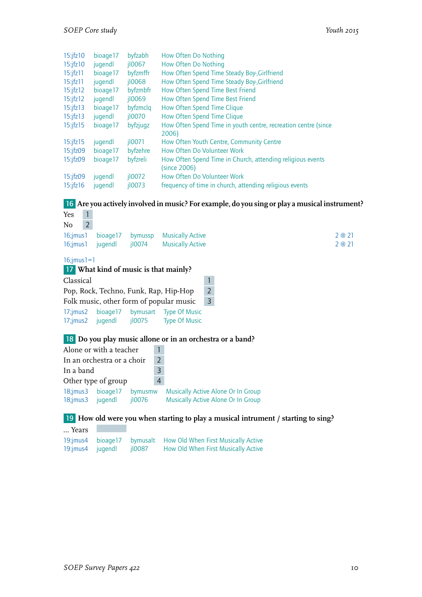|  | Youth 2015 |  |
|--|------------|--|
|--|------------|--|

| $15$ ; $ fz10$  | bioage17 | byfzabh              | How Often Do Nothing                                           |
|-----------------|----------|----------------------|----------------------------------------------------------------|
| $15:$ jfz $10$  | jugendl  | $i$ l $0067$         | How Often Do Nothing                                           |
| $15$ :jfz $11$  | bioage17 | byfzmffr             | How Often Spend Time Steady Boy-Girlfriend                     |
| $15$ ; $ fz11 $ | jugendl  | $i$ <sub>10068</sub> | How Often Spend Time Steady Boy-, Girlfriend                   |
| $15:$ jfz $12$  | bioage17 | byfzmbfr             | How Often Spend Time Best Friend                               |
| $15$ :jfz $12$  | jugendl  | $i$ loo $69$         | How Often Spend Time Best Friend                               |
| $15$ ; $ z13 $  | bioage17 | byfzmclg             | How Often Spend Time Clique                                    |
| $15:$ jfz $13$  | jugendl  | $i$ loozo            | How Often Spend Time Clique                                    |
| $15$ :jfz $15$  | bioage17 | byfzjugz             | How Often Spend Time in youth centre, recreation centre (since |
|                 |          |                      | 2006)                                                          |
| $15$ ; $ fz15 $ | jugendl  | $i$ 10071            | How Often Youth Centre, Community Centre                       |
| $15:$ jfz $09$  | bioage17 | byfzehre             | How Often Do Volunteer Work                                    |
| $15:$ jfz $09$  | bioage17 | byfzreli             | How Often Spend Time in Church, attending religious events     |
|                 |          |                      | (since 2006)                                                   |
| $15$ :jfz09     | jugendl  | j10072               | How Often Do Volunteer Work                                    |
| $15$ :jfz $16$  | jugendl  | i10073               | frequency of time in church, attending religious events        |

# 16 **Are you actively involved in music? For example, do you sing or play a musical instrument?**

| $\mathbf{1}$<br>Yes  |                            |        |                                                                                   |      |
|----------------------|----------------------------|--------|-----------------------------------------------------------------------------------|------|
| $\overline{2}$<br>No |                            |        |                                                                                   |      |
| $16$ ; jmus $1$      |                            |        | bioage17 bymussp Musically Active                                                 | 2@21 |
| $16$ ; jmus $1$      | jugendl                    |        | il0074 Musically Active                                                           | 2@21 |
| $16$ ; jmus $1=1$    |                            |        |                                                                                   |      |
|                      |                            |        | <b>17</b> What kind of music is that mainly?                                      |      |
| Classical            |                            |        | 1                                                                                 |      |
|                      |                            |        | $\overline{2}$<br>Pop, Rock, Techno, Funk, Rap, Hip-Hop                           |      |
|                      |                            |        | $\overline{3}$<br>Folk music, other form of popular music                         |      |
| $17$ ; jmus $2$      |                            |        | bioage17 bymusart Type Of Music                                                   |      |
|                      |                            |        | 17;jmus2 jugendl jl0075 Type Of Music                                             |      |
|                      |                            |        | 18 Do you play music allone or in an orchestra or a band?                         |      |
|                      | Alone or with a teacher    |        |                                                                                   |      |
|                      | In an orchestra or a choir |        | $\overline{2}$                                                                    |      |
| In a band            |                            |        | $\overline{3}$                                                                    |      |
|                      | Other type of group        |        | $\overline{4}$                                                                    |      |
|                      | 18;jmus3 bioage17 bymusmw  |        | <b>Musically Active Alone Or In Group</b>                                         |      |
| $18$ ; jmus $3$      | jugendl                    | jl0076 | Musically Active Alone Or In Group                                                |      |
|                      |                            |        |                                                                                   |      |
|                      |                            |        | 19 How old were you when starting to play a musical intrument / starting to sing? |      |

… Years

19:jmus4 bioage17 bymusalt How Old When First Musically Active<br>19:jmus4 jugendl jl0087 How Old When First Musically Active How Old When First Musically Active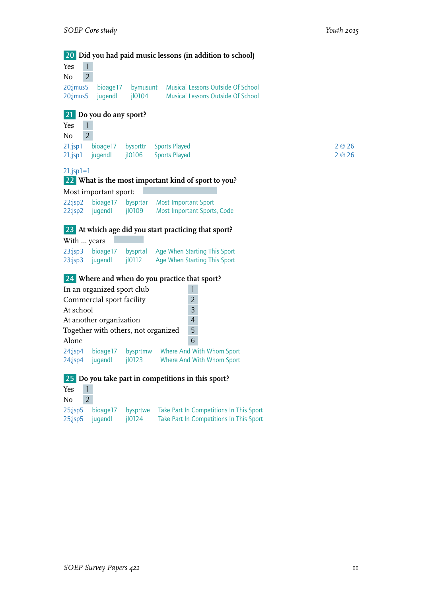20 **Did you had paid music lessons (in addition to school)** Yes 1  $No$  2 20;jmus5 bioage17 bymusunt Musical Lessons Outside Of School<br>20;jmus5 jugendl jl0104 Musical Lessons Outside Of School 20;jmus5 jugendl jl0104 Musical Lessons Outside Of School 21 **Do you do any sport?** Yes 1  $No$  2 21;jsp1 bioage17 bysprttr Sports Played 2 @ 26 21;jsp1 jugendl jl0106 Sports Played 2 and 2 and 2 @ 26  $21$ ;jsp $1=1$ 22 **What is the most important kind of sport to you?** Most important sport: 22:jsp2 bioage17 bysprtar Most Important Sport 22:jsp2 jugendl jl0109 Most Important Sports, Code 23 **At which age did you start practicing that sport?** With … years 23:jsp3 bioage17 bysprtal Age When Starting This Sport<br>23:jsp3 jugendl jl0112 Age When Starting This Sport Age When Starting This Sport 24 **Where and when do you practice that sport?** In an organized sport club 1 Commercial sport facility 2 At school 3 At another organization 14<br>Together with others, not organized 5 Together with others, not organized 5 Alone 6 24;jsp4 bioage17 bysprtmw Where And With Whom Sport 24;jsp4 jugendl jl0123 Where And With Whom Sport 25 **Do you take part in competitions in this sport?** Yes 1  $No$  2 25;jsp5 bioage17 bysprtwe Take Part In Competitions In This Sport 25;jsp5 jugendl jl0124 Take Part In Competitions In This Sport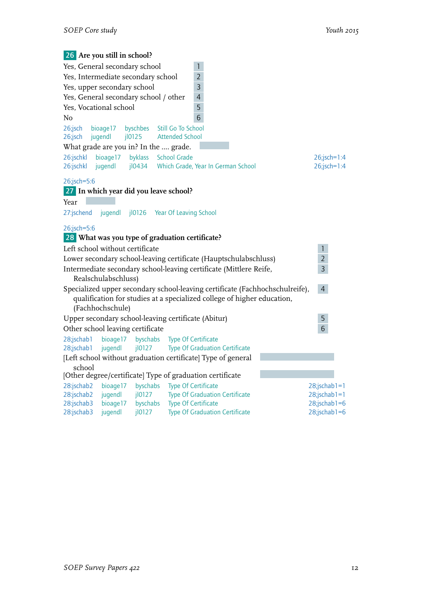| 26 Are you still in school?                          |                     |                      |                                                     |                                                                              |  |                 |  |
|------------------------------------------------------|---------------------|----------------------|-----------------------------------------------------|------------------------------------------------------------------------------|--|-----------------|--|
| Yes, General secondary school                        |                     |                      | $\mathbf{1}$                                        |                                                                              |  |                 |  |
| Yes, Intermediate secondary school<br>$\overline{2}$ |                     |                      |                                                     |                                                                              |  |                 |  |
| Yes, upper secondary school                          |                     |                      | 3                                                   |                                                                              |  |                 |  |
| Yes, General secondary school / other                |                     |                      | $\overline{4}$                                      |                                                                              |  |                 |  |
| Yes, Vocational school                               |                     |                      | 5                                                   |                                                                              |  |                 |  |
| No                                                   |                     |                      | 6                                                   |                                                                              |  |                 |  |
| 26;jsch<br>26;jsch                                   | bioage17<br>jugendl | byschbes<br>j10125   | Still Go To School<br><b>Attended School</b>        |                                                                              |  |                 |  |
| What grade are you in? In the  grade.                |                     |                      |                                                     |                                                                              |  |                 |  |
| 26:jschkl                                            | bioage17            | byklass              | <b>School Grade</b>                                 |                                                                              |  | 26;jsch=1:4     |  |
| 26:jschkl                                            | jugendl             | $i$ l0434            |                                                     | Which Grade, Year In German School                                           |  | $26$ ;jsch=1:4  |  |
| 26;jsch=5:6                                          |                     |                      |                                                     |                                                                              |  |                 |  |
| 27 In which year did you leave school?               |                     |                      |                                                     |                                                                              |  |                 |  |
| Year                                                 |                     |                      |                                                     |                                                                              |  |                 |  |
| 27:jschend                                           | jugendl             | j10126               | Year Of Leaving School                              |                                                                              |  |                 |  |
|                                                      |                     |                      |                                                     |                                                                              |  |                 |  |
| 26;jsch=5:6                                          |                     |                      |                                                     |                                                                              |  |                 |  |
|                                                      |                     |                      | 28 What was you type of graduation certificate?     |                                                                              |  |                 |  |
| Left school without certificate                      |                     |                      |                                                     |                                                                              |  | $\mathbf{1}$    |  |
|                                                      |                     |                      |                                                     | Lower secondary school-leaving certificate (Hauptschulabschluss)             |  | $\overline{2}$  |  |
|                                                      |                     |                      |                                                     | Intermediate secondary school-leaving certificate (Mittlere Reife,           |  | 3               |  |
|                                                      | Realschulabschluss) |                      |                                                     |                                                                              |  |                 |  |
|                                                      |                     |                      |                                                     | Specialized upper secondary school-leaving certificate (Fachhochschulreife), |  | $\overline{4}$  |  |
|                                                      |                     |                      |                                                     | qualification for studies at a specialized college of higher education,      |  |                 |  |
|                                                      | (Fachhochschule)    |                      | Upper secondary school-leaving certificate (Abitur) |                                                                              |  | 5               |  |
| Other school leaving certificate                     |                     |                      |                                                     |                                                                              |  | 6               |  |
| 28;jschab1                                           | bioage17            | byschabs             | <b>Type Of Certificate</b>                          |                                                                              |  |                 |  |
| 28;jschab1                                           | jugendl             | jl0127               |                                                     | <b>Type Of Graduation Certificate</b>                                        |  |                 |  |
|                                                      |                     |                      |                                                     | [Left school without graduation certificate] Type of general                 |  |                 |  |
| school                                               |                     |                      |                                                     |                                                                              |  |                 |  |
|                                                      |                     |                      |                                                     | [Other degree/certificate] Type of graduation certificate                    |  |                 |  |
| 28:jschab2                                           | bioage17            | byschabs             | <b>Type Of Certificate</b>                          |                                                                              |  | $28$ ;jschab1=1 |  |
| 28:jschab2                                           | jugendl             | jl0127               |                                                     | <b>Type Of Graduation Certificate</b>                                        |  | $28$ ;jschab1=1 |  |
| 28:jschab3                                           | bioage17            | byschabs             | Type Of Certificate                                 |                                                                              |  | $28$ ;jschab1=6 |  |
| 28:jschab3                                           | jugendl             | $i$ <sub>10127</sub> |                                                     | <b>Type Of Graduation Certificate</b>                                        |  | $28$ ;jschab1=6 |  |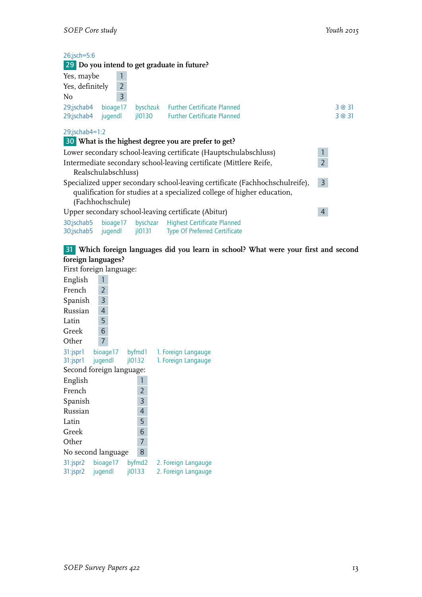| $26$ ;jsch=5:6        |                     | 29 Do you intend to get graduate in future?                                  |                |        |
|-----------------------|---------------------|------------------------------------------------------------------------------|----------------|--------|
| Yes, maybe            | 1                   |                                                                              |                |        |
| Yes, definitely       | $\overline{2}$      |                                                                              |                |        |
| No                    | 3                   |                                                                              |                |        |
| 29;jschab4 bioage17   |                     | byschzuk Further Certificate Planned                                         |                | 3 @ 31 |
| 29;jschab4 jugendl    |                     | il0130 Further Certificate Planned                                           |                | 3 @ 31 |
| $29$ ; ischab $4=1:2$ |                     |                                                                              |                |        |
|                       |                     | 30 What is the highest degree you are prefer to get?                         |                |        |
|                       |                     | Lower secondary school-leaving certificate (Hauptschulabschluss)             | 1              |        |
|                       |                     | Intermediate secondary school-leaving certificate (Mittlere Reife,           | $\overline{2}$ |        |
|                       | Realschulabschluss) |                                                                              |                |        |
|                       |                     | Specialized upper secondary school-leaving certificate (Fachhochschulreife), | $\mathbf{3}$   |        |
|                       |                     | qualification for studies at a specialized college of higher education,      |                |        |
|                       | (Fachhochschule)    |                                                                              |                |        |
|                       |                     | Upper secondary school-leaving certificate (Abitur)                          | 4              |        |
|                       |                     | 30;jschab5 bioaqe17 byschzar Highest Certificate Planned                     |                |        |
|                       |                     | 30;jschab5 jugendl jl0131 Type Of Preferred Certificate                      |                |        |

## 31 **Which foreign languages did you learn in school? What were your first and second foreign languages?**

First foreign language:

| English                  | 1              |  |  |                |                     |  |  |
|--------------------------|----------------|--|--|----------------|---------------------|--|--|
| French                   | 2              |  |  |                |                     |  |  |
| Spanish                  | 3              |  |  |                |                     |  |  |
| Russian                  | $\overline{4}$ |  |  |                |                     |  |  |
| Latin                    | 5              |  |  |                |                     |  |  |
|                          |                |  |  |                |                     |  |  |
| Greek                    | 6              |  |  |                |                     |  |  |
| Other                    | 7              |  |  |                |                     |  |  |
| 31:jspr1 bioage17 byfmd1 |                |  |  |                | 1. Foreign Langauge |  |  |
| 31:jspr1 jugendl         |                |  |  | 10132          | 1. Foreign Langauge |  |  |
| Second foreign language: |                |  |  |                |                     |  |  |
| English                  |                |  |  | 1              |                     |  |  |
| French                   |                |  |  | 2              |                     |  |  |
| Spanish                  |                |  |  | 3              |                     |  |  |
| Russian                  |                |  |  | $\overline{4}$ |                     |  |  |
| Latin                    |                |  |  | 5              |                     |  |  |
| Greek                    |                |  |  | 6              |                     |  |  |
| Other                    |                |  |  | 7              |                     |  |  |
| No second language       |                |  |  | 8              |                     |  |  |
| 31:jspr2 bioage17 byfmd2 |                |  |  |                | 2. Foreign Langauge |  |  |
| $31:$ jspr $2$           | jugendl        |  |  | 10133          | 2. Foreign Langauge |  |  |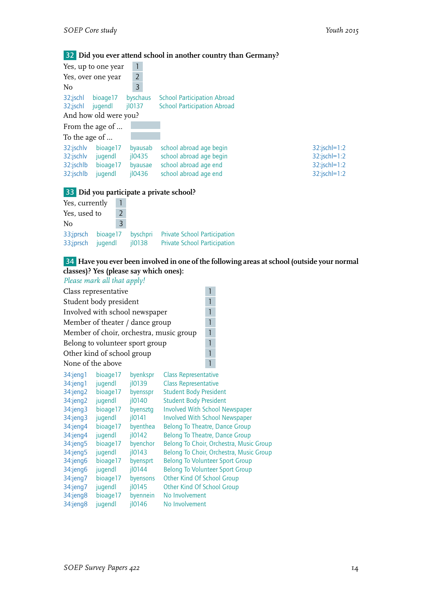#### 32 **Did you ever attend school in another country than Germany?**

| Yes, up to one year                                                                            |                                                          |                                                                                                      |                                                                          |
|------------------------------------------------------------------------------------------------|----------------------------------------------------------|------------------------------------------------------------------------------------------------------|--------------------------------------------------------------------------|
| Yes, over one year                                                                             | $\overline{2}$                                           |                                                                                                      |                                                                          |
| N <sub>o</sub>                                                                                 | 3                                                        |                                                                                                      |                                                                          |
| 32;jschl<br>bioage17<br>32;jschl<br>jugendl<br>And how old were you?                           | byschaus<br>$i$ 10137                                    | <b>School Participation Abroad</b><br><b>School Participation Abroad</b>                             |                                                                          |
| From the age of                                                                                |                                                          |                                                                                                      |                                                                          |
| To the age of                                                                                  |                                                          |                                                                                                      |                                                                          |
| 32:jschly<br>bioage17<br>32:jschlv<br>jugendl<br>32:jschlb<br>bioage17<br>32:jschlb<br>jugendl | byausab<br>$i$ lo <sub>435</sub><br>byausae<br>$i$ l0436 | school abroad age begin<br>school abroad age begin<br>school abroad age end<br>school abroad age end | $32$ :jschl=1:2<br>$32$ :jschl=1:2<br>$32$ :jschl=1:2<br>$32$ :jschl=1:2 |

#### 33 **Did you participate a private school?**

| Yes, currently         | Т.                  |   |                    |                                                                            |
|------------------------|---------------------|---|--------------------|----------------------------------------------------------------------------|
| Yes, used to           | $\mathcal{L}$       |   |                    |                                                                            |
| No                     |                     | 3 |                    |                                                                            |
| 33;jprsch<br>33;jprsch | bioage17<br>jugendl |   | byschpri<br>il0138 | <b>Private School Participation</b><br><b>Private School Participation</b> |

# 34 **Have you ever been involved in one of the following areas at school (outside your normal classes)? Yes (please say which ones):**

*Please mark all that apply!* Class representative 1 Student body president 1 Involved with school newspaper  $\frac{1}{1}$ <br>Member of theater / dance group Member of theater / dance group Member of choir, orchestra, music group 1 Belong to volunteer sport group 1 Other kind of school group 1 None of the above 1



| 34:jeng1<br>34:jeng1<br>$34$ :jeng2<br>$34$ :jeng2<br>$34$ : jeng $3$<br>$34$ : jeng $3$<br>34:jeng4<br>34:jeng4<br>34:jeng5<br>34:jeng5<br>34:jeng6<br>34:jeng6<br>34:jeng7<br>34:jeng7 | bioage17<br>jugendl<br>bioage17<br>jugendl<br>bioage17<br>jugendl<br>bioage17<br>jugendl<br>bioage17<br>jugendl<br>bioage17<br>jugendl<br>bioage17<br>jugendl | byenkspr<br>jl0139<br>byensspr<br>jl0140<br>byensztq<br>$i$ <sub>10141</sub><br>byenthea<br>j10142<br>byenchor<br> 10143<br>byensprt<br> 10144<br>byensons<br>j10145 | <b>Class Representative</b><br><b>Class Representative</b><br><b>Student Body President</b><br><b>Student Body President</b><br><b>Involved With School Newspaper</b><br><b>Involved With School Newspaper</b><br><b>Belong To Theatre, Dance Group</b><br><b>Belong To Theatre, Dance Group</b><br>Belong To Choir, Orchestra, Music Group<br>Belong To Choir, Orchestra, Music Group<br><b>Belong To Volunteer Sport Group</b><br><b>Belong To Volunteer Sport Group</b><br>Other Kind Of School Group<br>Other Kind Of School Group |
|------------------------------------------------------------------------------------------------------------------------------------------------------------------------------------------|---------------------------------------------------------------------------------------------------------------------------------------------------------------|----------------------------------------------------------------------------------------------------------------------------------------------------------------------|----------------------------------------------------------------------------------------------------------------------------------------------------------------------------------------------------------------------------------------------------------------------------------------------------------------------------------------------------------------------------------------------------------------------------------------------------------------------------------------------------------------------------------------|
|                                                                                                                                                                                          |                                                                                                                                                               |                                                                                                                                                                      |                                                                                                                                                                                                                                                                                                                                                                                                                                                                                                                                        |
| 34:jeng8                                                                                                                                                                                 | bioage17                                                                                                                                                      | byennein                                                                                                                                                             | No Involvement                                                                                                                                                                                                                                                                                                                                                                                                                                                                                                                         |
| 34:jeng8                                                                                                                                                                                 | jugendl                                                                                                                                                       | 10146                                                                                                                                                                | No Involvement                                                                                                                                                                                                                                                                                                                                                                                                                                                                                                                         |
|                                                                                                                                                                                          |                                                                                                                                                               |                                                                                                                                                                      |                                                                                                                                                                                                                                                                                                                                                                                                                                                                                                                                        |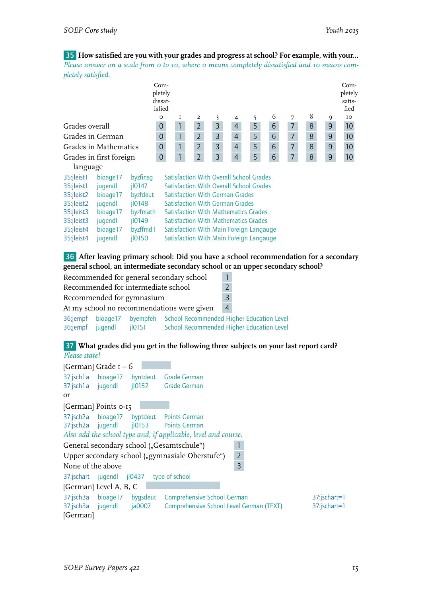35 **How satisfied are you with your grades and progress at school? For example, with your...** *Please answer on a scale from 0 to 10, where 0 means completely dissatisfied and 10 means completely satisfied.*

|                         | Com-<br>pletely<br>dissat-<br>isfied |                      |             |                                             |   |  |                |  |                                                |  |                |   |   |                |   | Com-<br>pletely<br>satis-<br>fied |                |                 |
|-------------------------|--------------------------------------|----------------------|-------------|---------------------------------------------|---|--|----------------|--|------------------------------------------------|--|----------------|---|---|----------------|---|-----------------------------------|----------------|-----------------|
|                         |                                      |                      | $\circ$     |                                             | 1 |  | 2              |  | 3                                              |  | 4              | 5 | 6 | 7              | 8 |                                   | 9              | IO              |
| Grades overall          |                                      |                      | $\mathbf 0$ |                                             |   |  | $\overline{2}$ |  | 3                                              |  | $\overline{4}$ | 5 | 6 | 7              | 8 |                                   | 9              | 10              |
| Grades in German        |                                      |                      | $\mathbf 0$ |                                             |   |  | $\overline{2}$ |  | 3                                              |  | $\overline{4}$ | 5 | 6 | $\overline{7}$ | 8 |                                   | 9              | 10              |
|                         | Grades in Mathematics                |                      | $\mathbf 0$ |                                             |   |  | $\overline{2}$ |  | 3                                              |  | $\overline{4}$ | 5 | 6 | $\overline{7}$ | 8 |                                   | $\overline{9}$ | 10              |
| Grades in first foreign |                                      |                      | $\mathbf 0$ |                                             |   |  | $\overline{2}$ |  | 3                                              |  | $\overline{4}$ | 5 | 6 | $\overline{7}$ | 8 |                                   | $9$            | 10 <sup>°</sup> |
| language                |                                      |                      |             |                                             |   |  |                |  |                                                |  |                |   |   |                |   |                                   |                |                 |
| 35:jleist1              | bioage17                             | byzfinsg             |             |                                             |   |  |                |  | <b>Satisfaction With Overall School Grades</b> |  |                |   |   |                |   |                                   |                |                 |
| 35:jleist1              | jugendl                              | $i$ <sub>10147</sub> |             |                                             |   |  |                |  | <b>Satisfaction With Overall School Grades</b> |  |                |   |   |                |   |                                   |                |                 |
| 35:jleist2              | bioage17                             | byzfdeut             |             |                                             |   |  |                |  | <b>Satisfaction With German Grades</b>         |  |                |   |   |                |   |                                   |                |                 |
| 35:jleist2              | jugendl                              | 10148                |             | <b>Satisfaction With German Grades</b>      |   |  |                |  |                                                |  |                |   |   |                |   |                                   |                |                 |
| 35:jleist3              | bioage17                             | byzfmath             |             | <b>Satisfaction With Mathematics Grades</b> |   |  |                |  |                                                |  |                |   |   |                |   |                                   |                |                 |
| 35:jleist3              | jugendl                              | $i$ <sub>10149</sub> |             | <b>Satisfaction With Mathematics Grades</b> |   |  |                |  |                                                |  |                |   |   |                |   |                                   |                |                 |
| 35:jleist4              | bioage17                             | byzffmd1             |             | Satisfaction With Main Foreign Langauge     |   |  |                |  |                                                |  |                |   |   |                |   |                                   |                |                 |
| 35:jleist4              | jugendl                              | $i$ <sub>10150</sub> |             | Satisfaction With Main Foreign Langauge     |   |  |                |  |                                                |  |                |   |   |                |   |                                   |                |                 |

36 **After leaving primary school: Did you have a school recommendation for a secondary general school, an intermediate secondary school or an upper secondary school?**

```
Recommended for general secondary school 1
Recommended for intermediate school 2
Recommended for gymnasium 3
At my school no recommendations were given 4
36;jempf bioage17 byempfeh School Recommended Higher Education Level
36;jempf jugendl jl0151 School Recommended Higher Education Level
```
#### 37 **What grades did you get in the following three subjects on your last report card?** *Please state!*

[German] Grade 1 – 6 37:jsch1a bioage17 byntdeut Grade German 37:jsch1a jugendl jl0152 Grade German or [German] Points 0-15 37:jsch2a bioage17 byptdeut Points German 37:jsch2a jugendl jl0153 Points German *Also add the school type and, if applicable, level and course.* General secondary school ("Gesamtschule") 1 Upper secondary school ("gymnasiale Oberstufe") 2 None of the above 3 37:jschart jugendl jl0437 type of school [German] Level A, B, C 37:jsch3a bioage17 bygsdeut Comprehensive School German 37:jschart=1 37:jsch3a jugendl ja0007 Comprehensive School Level German (TEXT) 37:jschart=1 [German]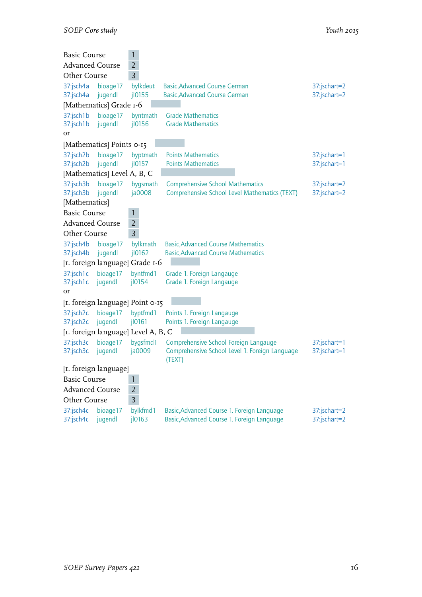| <b>Basic Course</b>        |                             | 1                                   |                                                                                          |              |
|----------------------------|-----------------------------|-------------------------------------|------------------------------------------------------------------------------------------|--------------|
| <b>Advanced Course</b>     |                             | $\overline{2}$                      |                                                                                          |              |
| Other Course               |                             | 3                                   |                                                                                          |              |
| 37:jsch4a                  | bioage17                    | bylkdeut                            | <b>Basic, Advanced Course German</b>                                                     | 37:jschart=2 |
| 37:jsch4a                  | jugendl                     | jl0155                              | <b>Basic, Advanced Course German</b>                                                     | 37:jschart=2 |
|                            | [Mathematics] Grade 1-6     |                                     |                                                                                          |              |
| 37:jsch1b                  | bioage17                    | byntmath                            | <b>Grade Mathematics</b>                                                                 |              |
| 37:jsch1b                  | jugendl                     | jl0156                              | <b>Grade Mathematics</b>                                                                 |              |
| or                         |                             |                                     |                                                                                          |              |
|                            | [Mathematics] Points 0-15   |                                     |                                                                                          |              |
| 37:jsch2b                  | bioage17                    | byptmath                            | <b>Points Mathematics</b>                                                                | 37:jschart=1 |
| 37:jsch2b                  | jugendl                     | j10157                              | <b>Points Mathematics</b>                                                                | 37:jschart=1 |
|                            | [Mathematics] Level A, B, C |                                     |                                                                                          |              |
| 37:jsch3b                  | bioage17                    | bygsmath                            | <b>Comprehensive School Mathematics</b>                                                  | 37:jschart=2 |
| 37:jsch3b<br>[Mathematics] | jugendl                     | ja0008                              | Comprehensive School Level Mathematics (TEXT)                                            | 37:jschart=2 |
| <b>Basic Course</b>        |                             | 1                                   |                                                                                          |              |
| <b>Advanced Course</b>     |                             | $\overline{2}$                      |                                                                                          |              |
| Other Course               |                             | 3                                   |                                                                                          |              |
|                            |                             |                                     |                                                                                          |              |
| 37:jsch4b<br>37:jsch4b     | bioage17<br>jugendl         | bylkmath<br>jl0162                  | <b>Basic, Advanced Course Mathematics</b><br><b>Basic, Advanced Course Mathematics</b>   |              |
|                            |                             | [I. foreign language] Grade I-6     |                                                                                          |              |
| 37:jsch1c                  | bioage17                    | byntfmd1                            | Grade 1. Foreign Langauge                                                                |              |
| 37:jsch1c                  | jugendl                     | jl0154                              | Grade 1. Foreign Langauge                                                                |              |
| or                         |                             |                                     |                                                                                          |              |
|                            |                             | [1. foreign language] Point 0-15    |                                                                                          |              |
| 37:jsch2c                  | bioage17                    | byptfmd1                            | Points 1. Foreign Langauge                                                               |              |
| 37:jsch2c                  | jugendl                     | jl0161                              | Points 1. Foreign Langauge                                                               |              |
|                            |                             | [1. foreign language] Level A, B, C |                                                                                          |              |
| 37:jsch3c                  | bioage17                    | bygsfmd1                            | Comprehensive School Foreign Langauge                                                    | 37:jschart=1 |
| 37:jsch3c                  | jugendl                     | ja0009                              | Comprehensive School Level 1. Foreign Language                                           | 37:jschart=1 |
|                            |                             |                                     | (TEXT)                                                                                   |              |
| [I. foreign language]      |                             |                                     |                                                                                          |              |
| <b>Basic Course</b>        |                             | 1                                   |                                                                                          |              |
| <b>Advanced Course</b>     |                             | $\overline{2}$                      |                                                                                          |              |
| Other Course               |                             | 3                                   |                                                                                          |              |
| 37:jsch4c<br>37:jsch4c     | bioage17<br>jugendl         | bylkfmd1                            | Basic, Advanced Course 1. Foreign Language<br>Basic, Advanced Course 1. Foreign Language | 37:jschart=2 |
|                            |                             | jl0163                              |                                                                                          | 37:jschart=2 |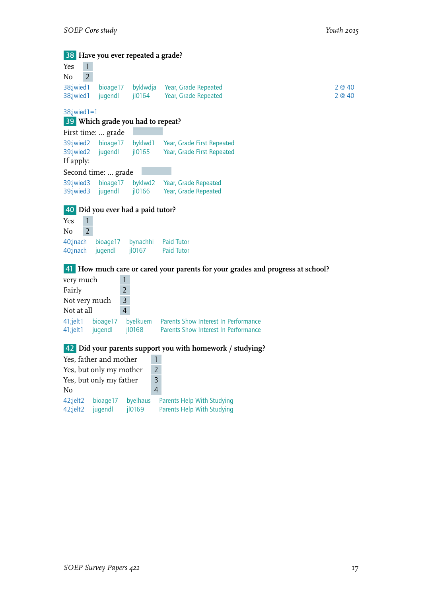38 **Have you ever repeated a grade?** Yes 1  $\overline{N_0}$  2 38;jwied1 bioage17 byklwdja Year, Grade Repeated 2 @ 40 38;jwied1 jugendl jl0164 Year, Grade Repeated 2 @ 40 38;jwied1=1 39 **Which grade you had to repeat?** First time: … grade 39:jwied2 bioage17 byklwd1 Year, Grade First Repeated Year, Grade First Repeated If apply: Second time: … grade 39:jwied3 bioage17 byklwd2 Year, Grade Repeated<br>39:jwied3 jugendl jl0166 Year, Grade Repeated Year, Grade Repeated 40 **Did you ever had a paid tutor?** Yes 1  $No$  2 40;jnach bioage17 bynachhi Paid Tutor<br>40;jnach jugendl jl0167 Paid Tutor  $40$ ;jnach jugendl 41 **How much care or cared your parents for your grades and progress at school?** very much 1 Fairly 2 Not very much  $\vert$  3 Not at all 4 41;jelt1 bioage17 byelkuem Parents Show Interest In Performance<br>41;jelt1 jugendl jl0168 Parents Show Interest In Performance 41;jelt1 jugendl jl0168 Parents Show Interest In Performance 42 **Did your parents support you with homework / studying?** Yes, father and mother 1 Yes, but only my mother 2 Yes, but only my father 3 No 4 42;jelt2 bioage17 byelhaus Parents Help With Studying<br>42;jelt2 jugendl jl0169 Parents Help With Studying

Parents Help With Studying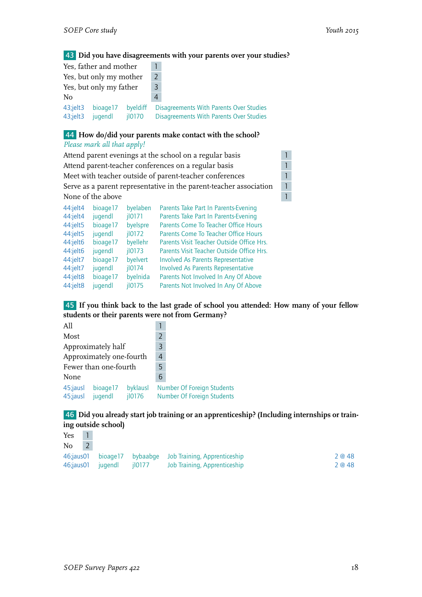# 43 **Did you have disagreements with your parents over your studies?**

|                                    | Yes, father and mother  |                                  |               |                                                                                    |
|------------------------------------|-------------------------|----------------------------------|---------------|------------------------------------------------------------------------------------|
|                                    | Yes, but only my mother |                                  | $\mathcal{P}$ |                                                                                    |
| Yes, but only my father            |                         |                                  |               |                                                                                    |
| No                                 |                         |                                  |               |                                                                                    |
| $43$ ; jelt $3$<br>$43$ ; jelt $3$ | bioage17<br>jugendl     | byeldiff<br>$i$ <sub>10170</sub> |               | Disagreements With Parents Over Studies<br>Disagreements With Parents Over Studies |

#### 44 **How do/did your parents make contact with the school?**

*Please mark all that apply!*

| Attend parent evenings at the school on a regular basis |                   |                      |                                                                    |              |  |  |  |
|---------------------------------------------------------|-------------------|----------------------|--------------------------------------------------------------------|--------------|--|--|--|
|                                                         |                   |                      | Attend parent-teacher conferences on a regular basis               | $\mathbf{1}$ |  |  |  |
|                                                         |                   |                      | Meet with teacher outside of parent-teacher conferences            | 1            |  |  |  |
|                                                         |                   |                      | Serve as a parent representative in the parent-teacher association | $\mathbf{1}$ |  |  |  |
|                                                         | None of the above |                      |                                                                    | $\mathbf{1}$ |  |  |  |
| $44$ :jelt $4$                                          | bioage17          | byelaben             | Parents Take Part In Parents-Evening                               |              |  |  |  |
| 44:jelt4                                                | jugendl           | $i$ <sub>10171</sub> | Parents Take Part In Parents-Evening                               |              |  |  |  |
| $44$ : jelt $5$                                         | bioage17          | byelspre             | Parents Come To Teacher Office Hours                               |              |  |  |  |
| $44$ :jelt $5$                                          | jugendl           | $i$ <sub>10172</sub> | Parents Come To Teacher Office Hours                               |              |  |  |  |
| 44:jelt6                                                | bioage17          | byellehr             | Parents Visit Teacher Outside Office Hrs.                          |              |  |  |  |
| 44:jelt6                                                | jugendl           | $i$ <sub>10173</sub> | Parents Visit Teacher Outside Office Hrs.                          |              |  |  |  |
| $44$ :jelt7                                             | bioage17          | byelvert             | <b>Involved As Parents Representative</b>                          |              |  |  |  |
| 44:jelt7                                                | jugendl           | $i$ <sub>10174</sub> | <b>Involved As Parents Representative</b>                          |              |  |  |  |
| 44:jelt8                                                | bioage17          | byelnida             | Parents Not Involved In Any Of Above                               |              |  |  |  |
| 44:jelt8                                                | jugendl           | $i$ <sub>10175</sub> | Parents Not Involved In Any Of Above                               |              |  |  |  |

## 45 **If you think back to the last grade of school you attended: How many of your fellow students or their parents were not from Germany?**

| A11      |                                |                       |   |                                                          |
|----------|--------------------------------|-----------------------|---|----------------------------------------------------------|
| Most     |                                |                       | 2 |                                                          |
|          | Approximately half             |                       | 3 |                                                          |
|          | Approximately one-fourth       |                       | 4 |                                                          |
|          | Fewer than one-fourth          |                       | 5 |                                                          |
| None     |                                |                       | 6 |                                                          |
| 45;jausl | 45; jausl bioage 17<br>jugendl | byklausl<br>$i$ l0176 |   | Number Of Foreign Students<br>Number Of Foreign Students |

# 46 **Did you already start job training or an apprenticeship? (Including internships or training outside school)**

| Yes       |         |        |                                                            |        |
|-----------|---------|--------|------------------------------------------------------------|--------|
| No        |         |        |                                                            |        |
|           |         |        | 46; ausol bioage 17 by baabge Job Training, Apprenticeship | 2 @ 48 |
| 46;jaus01 | jugendl | il0177 | Job Training, Apprenticeship                               | 2 @ 48 |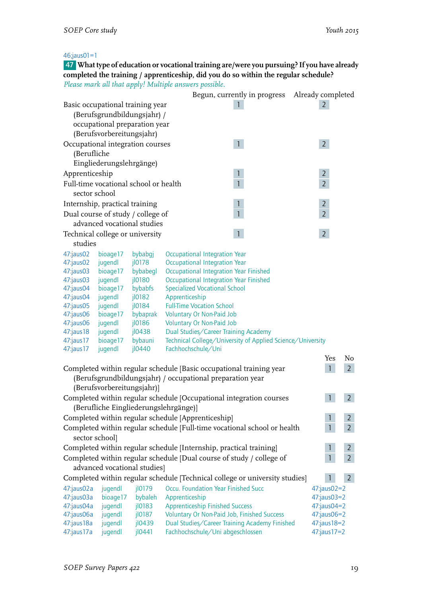### 46;jaus01=1

47 **What type of education or vocational training are/were you pursuing? If you have already completed the training / apprenticeship, did you do so within the regular schedule?** *Please mark all that apply! Multiple answers possible.*

|                                 |                            |                                       | Begun, currently in progress Already completed                                                 |                |                |
|---------------------------------|----------------------------|---------------------------------------|------------------------------------------------------------------------------------------------|----------------|----------------|
|                                 |                            | Basic occupational training year      |                                                                                                | $\mathbf{2}$   |                |
|                                 |                            | (Berufsgrundbildungsjahr) /           |                                                                                                |                |                |
|                                 |                            | occupational preparation year         |                                                                                                |                |                |
|                                 | (Berufsvorbereitungsjahr)  |                                       |                                                                                                |                |                |
|                                 |                            | Occupational integration courses      | $\mathbf{1}$                                                                                   | $\overline{2}$ |                |
| (Berufliche                     |                            |                                       |                                                                                                |                |                |
|                                 | Eingliederungslehrgänge)   |                                       |                                                                                                |                |                |
| Apprenticeship                  |                            |                                       | $\mathbf{1}$                                                                                   | $\overline{2}$ |                |
|                                 |                            | Full-time vocational school or health | $\overline{1}$                                                                                 | $\overline{2}$ |                |
| sector school                   |                            |                                       |                                                                                                |                |                |
| Internship, practical training  |                            |                                       |                                                                                                | $\overline{2}$ |                |
|                                 |                            | Dual course of study / college of     | $\overline{1}$                                                                                 | $\overline{2}$ |                |
|                                 |                            | advanced vocational studies           |                                                                                                |                |                |
| Technical college or university |                            |                                       | $\mathbf{1}$                                                                                   | $\overline{2}$ |                |
| studies                         |                            |                                       |                                                                                                |                |                |
| 47:jaus02                       | bioage17                   | bybabgj                               | <b>Occupational Integration Year</b>                                                           |                |                |
| 47:jaus02                       | jugendl                    | jl0178                                | <b>Occupational Integration Year</b>                                                           |                |                |
| 47:jaus03<br>$47$ : jaus $03$   | bioage17<br>jugendl        | bybabegl<br>jl0180                    | <b>Occupational Integration Year Finished</b><br><b>Occupational Integration Year Finished</b> |                |                |
| 47:jaus04                       | bioage17                   | bybabfs                               | <b>Specialized Vocational School</b>                                                           |                |                |
| 47:jaus04                       | jugendl                    | jl0182                                | Apprenticeship                                                                                 |                |                |
| $47$ :jaus $05$                 | jugendl                    | jl0184                                | <b>Full-Time Vocation School</b>                                                               |                |                |
| 47:jaus06                       | bioage17                   | bybaprak                              | Voluntary Or Non-Paid Job                                                                      |                |                |
| 47:jaus06                       | jugendl                    | jl0186                                | <b>Voluntary Or Non-Paid Job</b>                                                               |                |                |
| 47:jaus18                       | jugendl                    | $i$ 10438                             | Dual Studies/Career Training Academy                                                           |                |                |
| 47:jaus17<br>47:jaus17          | bioage17<br>jugendl        | bybauni<br>jl0440                     | Technical College/University of Applied Science/University<br>Fachhochschule/Uni               |                |                |
|                                 |                            |                                       |                                                                                                | Yes            | No             |
|                                 |                            |                                       | Completed within regular schedule [Basic occupational training year                            | $\mathbf{1}$   | $\overline{2}$ |
|                                 |                            |                                       | (Berufsgrundbildungsjahr) / occupational preparation year                                      |                |                |
|                                 | (Berufsvorbereitungsjahr)] |                                       |                                                                                                |                |                |
|                                 |                            |                                       | Completed within regular schedule [Occupational integration courses                            | $\mathbf{1}$   | 2 <sup>1</sup> |
|                                 |                            |                                       | (Berufliche Eingliederungslehrgänge)]                                                          |                |                |
|                                 |                            |                                       | Completed within regular schedule [Apprenticeship]                                             | $\mathbf{1}$   | $\overline{2}$ |
|                                 |                            |                                       | Completed within regular schedule [Full-time vocational school or health                       | $\mathbf{1}$   | $\overline{2}$ |
| sector school]                  |                            |                                       |                                                                                                |                |                |
|                                 |                            |                                       | Completed within regular schedule [Internship, practical training]                             | 1              | $\overline{2}$ |
|                                 |                            |                                       | Completed within regular schedule [Dual course of study / college of                           | $\mathbf{1}$   | $\overline{2}$ |
|                                 |                            | advanced vocational studies]          |                                                                                                |                |                |
|                                 |                            |                                       | Completed within regular schedule [Technical college or university studies]                    |                | $\overline{2}$ |
| 47:jaus02a                      | jugendl                    | jl0179                                | Occu. Foundation Year Finished Succ                                                            | 47:jaus02=2    |                |
| 47:jaus03a                      | bioage17                   | bybaleh                               | Apprenticeship                                                                                 | 47:jaus03=2    |                |
| 47:jaus04a                      | jugendl                    | $j$ $l$ 0183                          | <b>Apprenticeship Finished Success</b>                                                         | 47:jaus04=2    |                |
| 47:jaus06a                      | jugendl                    | jl0187                                | Voluntary Or Non-Paid Job, Finished Success                                                    | 47:jaus06=2    |                |
| 47:jaus18a                      | jugendl                    | j10439                                | Dual Studies/Career Training Academy Finished                                                  | 47: jaus 18=2  |                |
| 47:jaus17a                      | jugendl                    | j10441                                | Fachhochschule/Uni abgeschlossen                                                               | 47:jaus17=2    |                |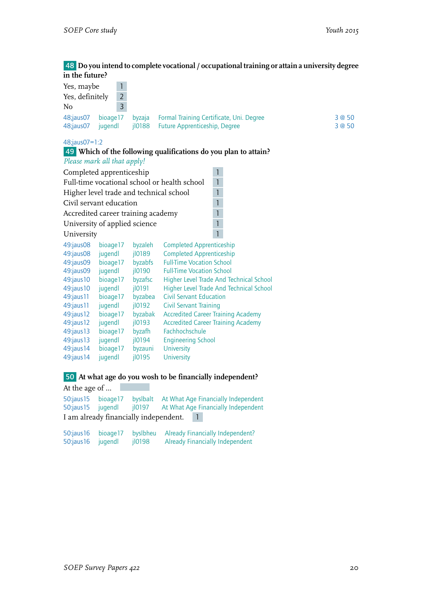#### 48 **Do you intend to complete vocational / occupational training or attain a university degree in the future?**

| Yes, maybe      | $\mathbf{1}$                            |         |                                                                 |        |  |  |  |  |  |  |
|-----------------|-----------------------------------------|---------|-----------------------------------------------------------------|--------|--|--|--|--|--|--|
| Yes, definitely | $\overline{2}$                          |         |                                                                 |        |  |  |  |  |  |  |
| No              | 3                                       |         |                                                                 |        |  |  |  |  |  |  |
| 48;jaus07       | bioage17                                | byzaja  | Formal Training Certificate, Uni. Degree                        | 3 @ 50 |  |  |  |  |  |  |
| 48;jaus07       | jugendl                                 | 10188   | <b>Future Apprenticeship, Degree</b>                            | 3 @ 50 |  |  |  |  |  |  |
|                 |                                         |         |                                                                 |        |  |  |  |  |  |  |
|                 | 48;jaus07=1:2                           |         |                                                                 |        |  |  |  |  |  |  |
|                 |                                         |         | 49 Which of the following qualifications do you plan to attain? |        |  |  |  |  |  |  |
|                 | Please mark all that apply!             |         |                                                                 |        |  |  |  |  |  |  |
|                 | Completed apprenticeship                |         | 1                                                               |        |  |  |  |  |  |  |
|                 |                                         |         | Full-time vocational school or health school<br>$\mathbf{1}$    |        |  |  |  |  |  |  |
|                 | Higher level trade and technical school |         | $\mathbf{1}$                                                    |        |  |  |  |  |  |  |
|                 | Civil servant education                 |         | 1                                                               |        |  |  |  |  |  |  |
|                 | Accredited career training academy      |         | $\mathbf{1}$                                                    |        |  |  |  |  |  |  |
|                 | University of applied science           |         | $\overline{1}$                                                  |        |  |  |  |  |  |  |
|                 |                                         |         | 1                                                               |        |  |  |  |  |  |  |
| University      |                                         |         |                                                                 |        |  |  |  |  |  |  |
| 49:jaus08       | bioage17                                | byzaleh | <b>Completed Apprenticeship</b>                                 |        |  |  |  |  |  |  |
| 49:jaus08       | jugendl                                 | jl0189  | <b>Completed Apprenticeship</b>                                 |        |  |  |  |  |  |  |
| 49:jaus09       | bioage17                                | byzabfs | <b>Full-Time Vocation School</b>                                |        |  |  |  |  |  |  |
| 49:jaus09       | jugendl                                 | jl0190  | <b>Full-Time Vocation School</b>                                |        |  |  |  |  |  |  |
| 49:jaus10       | bioage17                                | byzafsc | Higher Level Trade And Technical School                         |        |  |  |  |  |  |  |
| 49:jaus10       | jugendl                                 | jl0191  | Higher Level Trade And Technical School                         |        |  |  |  |  |  |  |
| 49:jaus11       | bioage17                                | byzabea | <b>Civil Servant Education</b>                                  |        |  |  |  |  |  |  |
| 49:jaus11       | jugendl                                 | jl0192  | <b>Civil Servant Training</b>                                   |        |  |  |  |  |  |  |
| 49:jaus12       | bioage17                                | byzabak | <b>Accredited Career Training Academy</b>                       |        |  |  |  |  |  |  |
| 49:jaus12       | jugendl                                 | jl0193  | <b>Accredited Career Training Academy</b>                       |        |  |  |  |  |  |  |
| 49:jaus13       | bioage17                                | byzafh  | Fachhochschule                                                  |        |  |  |  |  |  |  |
| 49:jaus13       | jugendl                                 | jl0194  | <b>Engineering School</b>                                       |        |  |  |  |  |  |  |
| 49:jaus14       | bioage17                                | byzauni | <b>University</b>                                               |        |  |  |  |  |  |  |
| 49:jaus14       | jugendl                                 | j10195  | University                                                      |        |  |  |  |  |  |  |
|                 |                                         |         |                                                                 |        |  |  |  |  |  |  |

### 50 **At what age do you wosh to be financially independent?**

At the age of … 50:jaus15 bioage17 byslbalt At What Age Financially Independent At What Age Financially Independent I am already financially independent. 1

|                   | 50:jaus16 bioage17 |        | bysibheu Already Financially Independent? |
|-------------------|--------------------|--------|-------------------------------------------|
| 50:jaus16 jugendl |                    | jl0198 | <b>Already Financially Independent</b>    |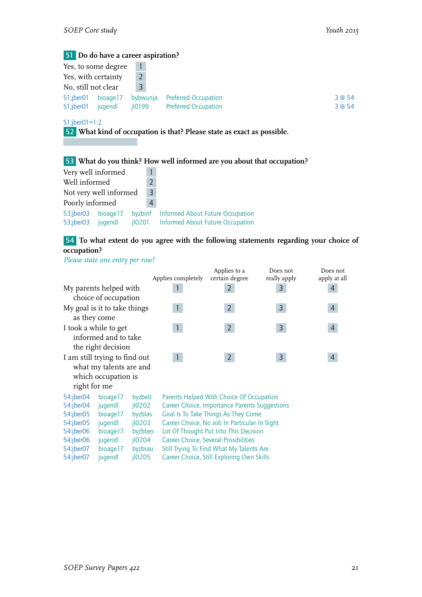|                     | 51 Do do have a career aspiration? |          |                             |        |
|---------------------|------------------------------------|----------|-----------------------------|--------|
|                     | Yes, to some degree                |          |                             |        |
| Yes, with certainty |                                    |          |                             |        |
| No, still not clear |                                    | 3        |                             |        |
| 51;jber01           | bioage17                           | bybwunja | <b>Preferred Occupation</b> | 3 @ 54 |
| 51;jber01           | jugendl                            | jl0199   | <b>Preferred Occupation</b> | 3 @ 54 |
| $51$ ;jber01=1:2    |                                    |          |                             |        |

52 **What kind of occupation is that? Please state as exact as possible.**

# 53 **What do you think? How well informed are you about that occupation?**

| Very well informed     |                      |                      |   |                                                                                    |
|------------------------|----------------------|----------------------|---|------------------------------------------------------------------------------------|
| Well informed          |                      |                      |   |                                                                                    |
| Not very well informed |                      |                      |   |                                                                                    |
| Poorly informed        |                      |                      | 4 |                                                                                    |
| 53;jber03<br>53;jber03 | bioage 17<br>jugendl | byzbinf<br>$i$ lozon |   | <b>Informed About Future Occupation</b><br><b>Informed About Future Occupation</b> |

# 54 **To what extent do you agree with the following statements regarding your choice of occupation?**

*Please state one entry per row!*

|                                   |                               |         |                                              | Applies to a                                  | Does not     | Does not     |  |  |  |
|-----------------------------------|-------------------------------|---------|----------------------------------------------|-----------------------------------------------|--------------|--------------|--|--|--|
|                                   |                               |         | Applies completely                           | certain degree                                | really apply | apply at all |  |  |  |
|                                   | My parents helped with        |         |                                              | $\overline{2}$                                | 3            | 4            |  |  |  |
|                                   | choice of occupation          |         |                                              |                                               |              |              |  |  |  |
|                                   | My goal is it to take things  |         | $\mathbf{1}$                                 | $\overline{2}$                                | 3            | 4            |  |  |  |
|                                   | as they come                  |         |                                              |                                               |              |              |  |  |  |
|                                   | I took a while to get         |         | $\mathbf{1}$                                 | $\overline{2}$                                | 3            | 4            |  |  |  |
|                                   | informed and to take          |         |                                              |                                               |              |              |  |  |  |
|                                   | the right decision            |         |                                              |                                               |              |              |  |  |  |
|                                   | I am still trying to find out |         | $\mathbf{1}$                                 | $\overline{2}$                                | 3            | 4            |  |  |  |
|                                   | what my talents are and       |         |                                              |                                               |              |              |  |  |  |
|                                   | which occupation is           |         |                                              |                                               |              |              |  |  |  |
| right for me                      |                               |         |                                              |                                               |              |              |  |  |  |
| 54:jber04                         | bioage17                      | byzbelt |                                              | Parents Helped With Choice Of Occupation      |              |              |  |  |  |
| 54:jber04                         | jugendl                       | j10202  |                                              | Career Choice, Importance Parents Suggestions |              |              |  |  |  |
| $54$ :jber $05$                   | bioage17                      | byzblas |                                              | Goal Is To Take Things As They Come           |              |              |  |  |  |
| 54:jber05<br>$i$ l0203<br>jugendl |                               |         | Career Choice, No Job In Particular In Sight |                                               |              |              |  |  |  |
| 54:jber06                         | bioage17                      | byzbbes |                                              | Lot Of Thought Put Into This Decision         |              |              |  |  |  |
| 54:jber06                         | jugendl                       | jl0204  |                                              | <b>Career Choice, Several Possibilities</b>   |              |              |  |  |  |
| 54:jber07                         | bioage17                      | byzbrau | Still Trying To Find What My Talents Are     |                                               |              |              |  |  |  |
| $i$ l0205<br>54:jber07<br>jugendl |                               |         |                                              | Career Choice, Still Exploring Own Skills     |              |              |  |  |  |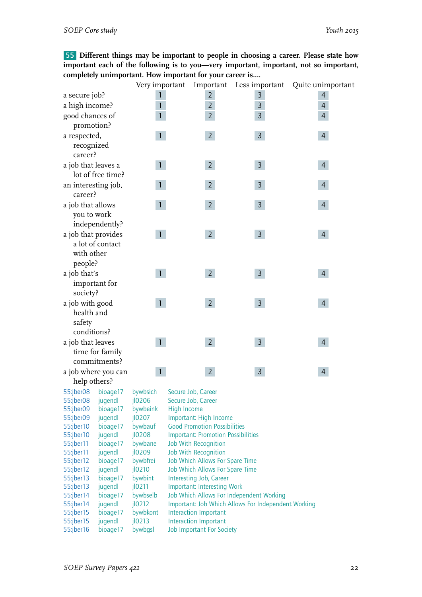55 **Different things may be important to people in choosing a career. Please state how important each of the following is to you—very important, important, not so important, completely unimportant. How important for your career is....**

|                        |                     | Very important     | Important                                                                                       | Less important | Quite unimportant |
|------------------------|---------------------|--------------------|-------------------------------------------------------------------------------------------------|----------------|-------------------|
| a secure job?          |                     | 1                  | $\overline{2}$                                                                                  | 3              | 4                 |
| a high income?         |                     | $\mathbf{1}$       | $\overline{2}$                                                                                  | 3              | $\overline{4}$    |
| good chances of        |                     | 1                  | $\overline{2}$                                                                                  | 3              | $\overline{4}$    |
| promotion?             |                     |                    |                                                                                                 |                |                   |
| a respected,           |                     | $\mathbf{1}$       | $\overline{2}$                                                                                  | 3              | $\overline{4}$    |
| recognized             |                     |                    |                                                                                                 |                |                   |
| career?                |                     |                    |                                                                                                 |                |                   |
|                        |                     | $\mathbf{1}$       |                                                                                                 |                |                   |
| a job that leaves a    | lot of free time?   |                    | $\overline{2}$                                                                                  | $\mathsf{3}$   | $\overline{4}$    |
|                        |                     |                    |                                                                                                 |                |                   |
| an interesting job,    |                     |                    | $\overline{2}$                                                                                  | 3              | 4                 |
| career?                |                     |                    |                                                                                                 |                |                   |
| a job that allows      |                     |                    | $\overline{2}$                                                                                  | $\overline{3}$ | $\overline{4}$    |
| you to work            |                     |                    |                                                                                                 |                |                   |
|                        | independently?      |                    |                                                                                                 |                |                   |
| a job that provides    |                     | $\mathbf{1}$       | $\overline{2}$                                                                                  | $\overline{3}$ | $\overline{4}$    |
|                        | a lot of contact    |                    |                                                                                                 |                |                   |
| with other             |                     |                    |                                                                                                 |                |                   |
| people?                |                     |                    |                                                                                                 |                |                   |
| a job that's           |                     | $\mathbf{1}$       | 2 <sup>7</sup>                                                                                  | $\mathsf{3}$   | $\overline{4}$    |
| important for          |                     |                    |                                                                                                 |                |                   |
| society?               |                     |                    |                                                                                                 |                |                   |
| a job with good        |                     |                    | 2 <sup>7</sup>                                                                                  | $\mathsf{3}$   | $\overline{4}$    |
| health and             |                     |                    |                                                                                                 |                |                   |
| safety                 |                     |                    |                                                                                                 |                |                   |
| conditions?            |                     |                    |                                                                                                 |                |                   |
| a job that leaves      |                     | $\mathbf{1}$       | $\overline{2}$                                                                                  | $\mathsf{3}$   | $\overline{4}$    |
|                        | time for family     |                    |                                                                                                 |                |                   |
|                        | commitments?        |                    |                                                                                                 |                |                   |
| a job where you can    |                     |                    | $\overline{2}$                                                                                  | 3              | 4                 |
| help others?           |                     |                    |                                                                                                 |                |                   |
| 55:jber08              | bioage17            | bywbsich           | Secure Job, Career                                                                              |                |                   |
| 55:jber08              | jugendl             | 10206              | Secure Job, Career                                                                              |                |                   |
| 55:jber09              | bioage17            | bywbeink           | <b>High Income</b>                                                                              |                |                   |
| 55:jber09              | jugendl             | jl0207             | Important: High Income                                                                          |                |                   |
| 55:jber10              | bioage17            | bywbauf            | <b>Good Promotion Possibilities</b>                                                             |                |                   |
| 55:jber10              | jugendl             | jl0208             | <b>Important: Promotion Possibilities</b>                                                       |                |                   |
| 55:jber11              | bioage17            | bywbane            | Job With Recognition                                                                            |                |                   |
| 55:jber11              | jugendl             | jl0209             | <b>Job With Recognition</b>                                                                     |                |                   |
| 55:jber12              | bioage17            | bywbfrei           | Job Which Allows For Spare Time                                                                 |                |                   |
| 55:jber12              | jugendl             | jl0210             | Job Which Allows For Spare Time                                                                 |                |                   |
| 55:jber13              | bioage17            | bywbint            | Interesting Job, Career                                                                         |                |                   |
| 55:jber13              | jugendl             | j10211             | Important: Interesting Work                                                                     |                |                   |
| 55:jber14<br>55:jber14 | bioage17<br>jugendl | bywbselb<br>j10212 | Job Which Allows For Independent Working<br>Important: Job Which Allows For Independent Working |                |                   |
| 55:jber15              | bioage17            | bywbkont           | Interaction Important                                                                           |                |                   |
| 55:jber15              | jugendl             | j10213             | Interaction Important                                                                           |                |                   |
| 55:jber16              | bioage17            | bywbgsl            | <b>Job Important For Society</b>                                                                |                |                   |
|                        |                     |                    |                                                                                                 |                |                   |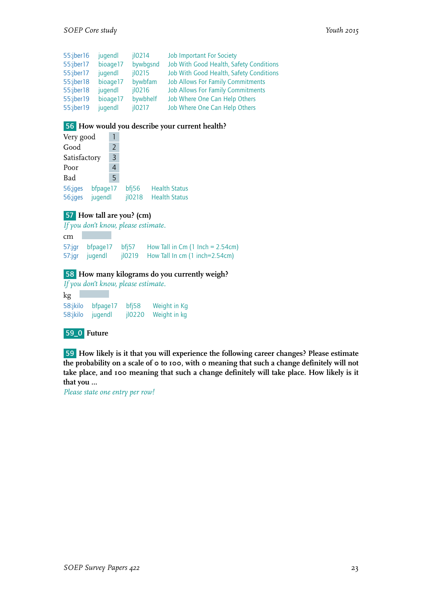| 55:jber16 | jugendl  | $i$ lo <sub>214</sub> | <b>Job Important For Society</b>         |
|-----------|----------|-----------------------|------------------------------------------|
| 55:jber17 | bioage17 | bywbgsnd              | Job With Good Health, Safety Conditions  |
| 55:jber17 | jugendl  | $i$ lo <sub>215</sub> | Job With Good Health, Safety Conditions  |
| 55:jber18 | bioage17 | bywbfam               | <b>Job Allows For Family Commitments</b> |
| 55:jber18 | jugendl  | $i$ loz <sub>16</sub> | <b>Job Allows For Family Commitments</b> |
| 55:jber19 | bioage17 | bywbhelf              | Job Where One Can Help Others            |
| 55:jber19 | jugendl  | $i$ lo <sub>217</sub> | Job Where One Can Help Others            |

#### 56 **How would you describe your current health?**

| Very good          |                     |               |                 |                                              |  |
|--------------------|---------------------|---------------|-----------------|----------------------------------------------|--|
| Good               |                     | $\mathcal{P}$ |                 |                                              |  |
| Satisfactory       |                     | 3             |                 |                                              |  |
| Poor               |                     | 4             |                 |                                              |  |
| Bad                |                     | 5             |                 |                                              |  |
| 56;jges<br>56;jges | bfpage17<br>jugendl |               | bf 56<br>jl0218 | <b>Health Status</b><br><b>Health Status</b> |  |
|                    |                     |               |                 |                                              |  |

#### 57 **How tall are you? (cm)**

*If you don't know, please estimate.*

cm 57:jgr bfpage17 bfj57 How Tall in Cm (1 Inch = 2.54cm)<br>57:jgr jugendl jl0219 How Tall In cm (1 inch=2.54cm)  $j$ l0219 How Tall In cm (1 inch=2.54cm)

#### 58 **How many kilograms do you currently weigh?**

*If you don't know, please estimate.* kg

58:jkilo bfpage17 bfj58 Weight in Kg<br>58:jkilo juqendl jl0220 Weight in kg jl0220 Weight in kg

#### 59\_0 **Future**

59 **How likely is it that you will experience the following career changes? Please estimate the probability on a scale of 0 to 100, with 0 meaning that such a change definitely will not take place, and 100 meaning that such a change definitely will take place. How likely is it that you …**

*Please state one entry per row!*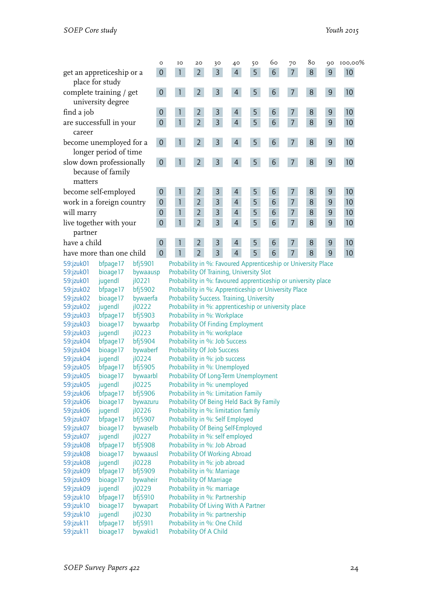|                                                          | $\circ$        | IO                                                            | 20             | 30             | 40             | 50             | 60              | 70             | 80 | QO             | 100,00%         |
|----------------------------------------------------------|----------------|---------------------------------------------------------------|----------------|----------------|----------------|----------------|-----------------|----------------|----|----------------|-----------------|
| get an appreticeship or a<br>place for study             | $\mathbf 0$    |                                                               | $\overline{2}$ | 3              | $\overline{4}$ | 5              | 6               | $\overline{7}$ | 8  | 9              | 10              |
| complete training / get<br>university degree             | 0              |                                                               | $\overline{2}$ | 3              | $\overline{4}$ | 5              | $6\phantom{1}6$ | 7              | 8  | 9              | 10              |
| find a job                                               | 0              |                                                               | $\overline{2}$ | 3              | $\overline{4}$ | 5              | 6               | 7              | 8  | 9              | 10              |
| are successfull in your<br>career                        | $\mathbf 0$    |                                                               | $\overline{2}$ | 3              | $\overline{4}$ | 5 <sup>1</sup> | 6               | $\overline{7}$ | 8  | $\overline{9}$ | 10              |
| become unemployed for a<br>longer period of time         | 0              |                                                               | $\overline{2}$ | 3              | $\overline{4}$ | 5              | 6               | 7              | 8  | 9              | 10 <sup>°</sup> |
| slow down professionally<br>because of family<br>matters | 0              |                                                               | $\overline{2}$ | 3              | $\overline{4}$ | 5              | 6               | $\overline{7}$ | 8  | 9              | 10 <sup>°</sup> |
| become self-employed                                     | 0              |                                                               | 2              | 3              | 4              | 5              | 6               | 7              | 8  | 9              | 10              |
| work in a foreign country                                | $\mathbf{0}$   |                                                               | $\overline{2}$ | 3              | $\overline{4}$ | 5              | 6               | $\overline{7}$ | 8  | 9              | 10              |
| will marry                                               | $\mathbf{0}$   |                                                               | $\overline{2}$ | 3              | $\overline{4}$ | 5              | 6               | $\overline{7}$ | 8  | 9              | 10              |
| live together with your<br>partner                       | $\overline{0}$ |                                                               | $\overline{2}$ | $\overline{3}$ | $\overline{4}$ | 5              | 6               | $\overline{7}$ | 8  | 9              | 10              |
| have a child                                             | $\mathbf 0$    |                                                               | $\overline{2}$ | 3              | $\overline{4}$ | 5              | 6               | $\overline{7}$ | 8  | 9              | 10              |
| have more than one child                                 | $\mathbf 0$    |                                                               | $\overline{2}$ | 3              | $\overline{4}$ | 5              | 6               | $\overline{7}$ | 8  | 9              | 10              |
| bf 5901<br>59:jzuk01<br>bfpage17                         |                | Probability in %: Favoured Apprenticeship or University Place |                |                |                |                |                 |                |    |                |                 |

| <b>JY.IZUKUT</b> | bipage i z | <b>DISCIIO</b>        | Probability in %. Favoured Apprenticeship or University Place |
|------------------|------------|-----------------------|---------------------------------------------------------------|
| 59:jzuk01        | bioage17   | bywaausp              | Probability Of Training, University Slot                      |
| 59:jzuk01        | jugendl    | $i$ lozz $i$          | Probability in %: favoured apprenticeship or university place |
| 59:jzuk02        | bfpage17   | bf 5902               | Probability in %: Apprenticeship or University Place          |
| 59:jzuk02        | bioage17   | bywaerfa              | Probability Success. Training, University                     |
| 59:jzuk02        | jugendl    | j10222                | Probability in %: apprenticeship or university place          |
| 59:jzuk03        | bfpage17   | bfj5903               | Probability in %: Workplace                                   |
| 59:jzuk03        | bioage17   | bywaarbp              | <b>Probability Of Finding Employment</b>                      |
| 59:jzuk03        | jugendl    | j10223                | Probability in %: workplace                                   |
| 59:jzuk04        | bfpage17   | bfj5904               | Probability in %: Job Success                                 |
| 59:jzuk04        | bioage17   | bywaberf              | <b>Probability Of Job Success</b>                             |
| 59:jzuk04        | jugendl    | $i$ l0224             | Probability in %: job success                                 |
| 59:jzuk05        | bfpage17   | bf 5905               | Probability in %: Unemployed                                  |
| 59:jzuk05        | bioage17   | bywaarbl              | Probability Of Long-Term Unemployment                         |
| 59:jzuk05        | jugendl    | j10225                | Probability in %: unemployed                                  |
| 59:jzuk06        | bfpage17   | bfj5906               | Probability in %: Limitation Family                           |
| 59:jzuk06        | bioage17   | bywazuru              | Probability Of Being Held Back By Family                      |
| 59:jzuk06        | jugendl    | $i$ l0226             | Probability in %: limitation family                           |
| 59:jzuk07        | bfpage17   | bfj5907               | Probability in %: Self Employed                               |
| 59:jzuk07        | bioage17   | bywaselb              | Probability Of Being Self-Employed                            |
| 59:jzuk07        | jugendl    | $i$ lo <sub>227</sub> | Probability in %: self employed                               |
| 59:jzuk08        | bfpage17   | bfj5908               | Probability in %: Job Abroad                                  |
| 59:jzuk08        | bioage17   | bywaausl              | Probability Of Working Abroad                                 |
| 59:jzuk08        | jugendl    | j10228                | Probability in %: job abroad                                  |
| 59:jzuk09        | bfpage17   | bfj5909               | Probability in %: Marriage                                    |
| 59:jzuk09        | bioage17   | bywaheir              | <b>Probability Of Marriage</b>                                |
| 59:jzuk09        | jugendl    | $i$ lozz $9$          | Probability in %: marriage                                    |
| 59:jzuk10        | bfpage17   | bfj5910               | Probability in %: Partnership                                 |
| 59:jzuk10        | bioage17   | bywapart              | Probability Of Living With A Partner                          |
| 59:jzuk10        | jugendl    | j10230                | Probability in %: partnership                                 |
| 59:jzuk11        | bfpage17   | bf 5911               | Probability in %: One Child                                   |
| 59:jzuk11        | bioage17   | bywakid1              | Probability Of A Child                                        |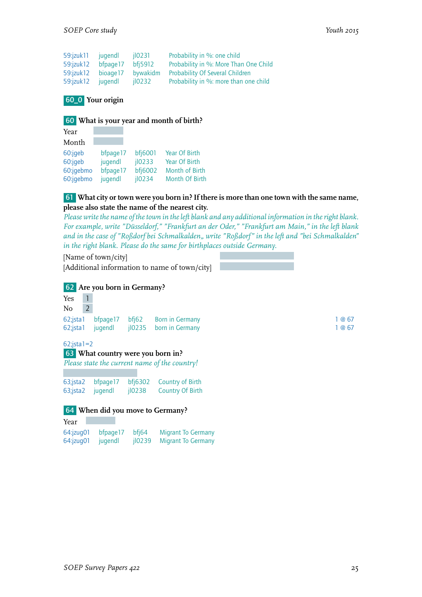| 59: izuk11 jugendl                |           | il0231         | Probability in %: one child            |
|-----------------------------------|-----------|----------------|----------------------------------------|
| 59:jzuk12                         | bfpage 17 | <b>bfi5912</b> | Probability in %: More Than One Child  |
| 59:jzuk12 bioage17                |           | bywakidm       | <b>Probability Of Several Children</b> |
| 59: <i>izuk</i> 12 <i>jugendl</i> |           | $i$ l0232      | Probability in %: more than one child  |

#### 60\_0 **Your origin**

#### 60 **What is your year and month of birth?**

| Year      |          |         |                      |
|-----------|----------|---------|----------------------|
| Month     |          |         |                      |
| 60:jgeb   | bfpage17 | bfj6001 | Year Of Birth        |
| 60:jqeb   | jugendl  | jl0233  | <b>Year Of Birth</b> |
| 60:jqebmo | bfpage17 | bfj6002 | Month of Birth       |
| 60:jqebmo | jugendl  | jl0234  | Month Of Birth       |

#### 61 **What city or town were you born in? If there is more than one town with the same name, please also state the name of the nearest city.**

*Please write the name of the town in the left blank and any additional information in the right blank. For example, write "Düsseldorf," "Frankfurt an der Oder," "Frankfurt am Main," in the left blank and in the case of "Roßdorf bei Schmalkalden" write "Roßdorf" in the left and "bei Schmalkalden" in the right blank. Please do the same for birthplaces outside Germany.*

| [Name of town/city]                           |  |
|-----------------------------------------------|--|
| [Additional information to name of town/city] |  |

#### 62 **Are you born in Germany?**

| Yes | $\overline{1}$ |  |                                            |        |
|-----|----------------|--|--------------------------------------------|--------|
| No  | $\overline{2}$ |  |                                            |        |
|     |                |  | 62; ista 1 bfpage 17 bfj62 Born in Germany | 1 @ 67 |
|     |                |  | 62; ista1 jugendl jl0235 born in Germany   | 1@67   |
|     |                |  |                                            |        |

62;jsta1=2

| 63 What country were you born in? |  |
|-----------------------------------|--|
|                                   |  |

*Please state the current name of the country!*

63;jsta2 bfpage17 bfj6302 Country of Birth 63;jsta2 jugendl jl0238 Country Of Birth

#### 64 **When did you move to Germany?**

| Year                     |          |        |                           |
|--------------------------|----------|--------|---------------------------|
| 64:jzug01                | bfpage17 | bfi64  | <b>Migrant To Germany</b> |
| $64$ : $ z \text{uq01} $ | jugendl  | il0239 | Migrant To Germany        |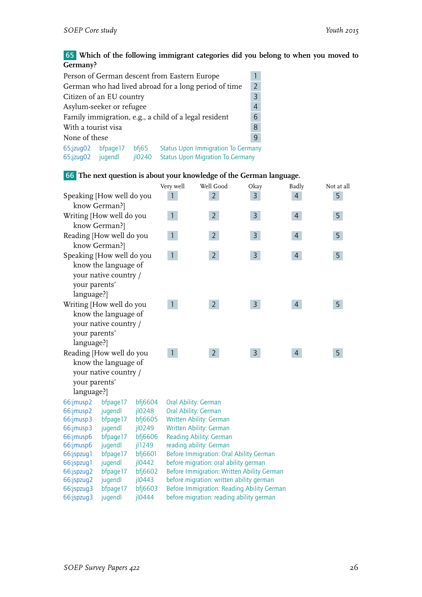65 **Which of the following immigrant categories did you belong to when you moved to Germany?**

| Person of German descent from Eastern Europe               |                                                                         |        |                                                       |                |  |  |
|------------------------------------------------------------|-------------------------------------------------------------------------|--------|-------------------------------------------------------|----------------|--|--|
|                                                            |                                                                         |        | German who had lived abroad for a long period of time | $\overline{z}$ |  |  |
| Citizen of an EU country                                   |                                                                         |        |                                                       | $\overline{3}$ |  |  |
| Asylum-seeker or refugee<br>$\overline{4}$                 |                                                                         |        |                                                       |                |  |  |
| Family immigration, e.g., a child of a legal resident<br>6 |                                                                         |        |                                                       |                |  |  |
| With a tourist visa<br>8                                   |                                                                         |        |                                                       |                |  |  |
| None of these<br>9                                         |                                                                         |        |                                                       |                |  |  |
|                                                            | 65;jzug02 bfpage17<br><b>Status Upon Immigration To Germany</b><br>bf65 |        |                                                       |                |  |  |
| 65;jzug02 jugendl                                          |                                                                         | jl0240 | <b>Status Upon Migration To Germany</b>               |                |  |  |

# 66 **The next question is about your knowledge of the German language.**

|                           |                       |                       | Very well                             | Well Good                                                          | Okay           | <b>Badly</b>   | Not at all |  |
|---------------------------|-----------------------|-----------------------|---------------------------------------|--------------------------------------------------------------------|----------------|----------------|------------|--|
| Speaking [How well do you |                       |                       | $\overline{2}$                        | $\overline{3}$                                                     | $\overline{4}$ | 5              |            |  |
|                           | know German?]         |                       |                                       |                                                                    |                |                |            |  |
| Writing [How well do you  |                       |                       | $\mathbf{1}$                          | 2 <sup>2</sup>                                                     | $\overline{3}$ | $\overline{4}$ | 5          |  |
|                           | know German?]         |                       |                                       |                                                                    |                |                |            |  |
| Reading [How well do you  |                       |                       | $\mathbf{1}$                          | $\overline{2}$                                                     | $\mathsf{3}$   | $\overline{4}$ | 5          |  |
|                           | know German?]         |                       |                                       |                                                                    |                |                |            |  |
| Speaking [How well do you |                       |                       | $\mathbf{1}$                          | 2 <sup>1</sup>                                                     | $\overline{3}$ | $\overline{4}$ | 5          |  |
|                           | know the language of  |                       |                                       |                                                                    |                |                |            |  |
|                           | your native country / |                       |                                       |                                                                    |                |                |            |  |
| your parents'             |                       |                       |                                       |                                                                    |                |                |            |  |
| language?]                |                       |                       |                                       |                                                                    |                |                |            |  |
| Writing [How well do you  |                       |                       | $\mathbf{1}$                          | $\overline{2}$                                                     | $\mathsf{3}$   | $\overline{4}$ | 5          |  |
|                           | know the language of  |                       |                                       |                                                                    |                |                |            |  |
|                           | your native country / |                       |                                       |                                                                    |                |                |            |  |
| your parents'             |                       |                       |                                       |                                                                    |                |                |            |  |
| language?]                |                       |                       |                                       |                                                                    |                |                |            |  |
|                           |                       |                       | $\mathbf{1}$                          | 2 <sup>1</sup>                                                     | $\overline{3}$ | $\overline{4}$ | 5          |  |
| Reading [How well do you  |                       |                       |                                       |                                                                    |                |                |            |  |
|                           | know the language of  |                       |                                       |                                                                    |                |                |            |  |
|                           | your native country / |                       |                                       |                                                                    |                |                |            |  |
| your parents'             |                       |                       |                                       |                                                                    |                |                |            |  |
| language?]                |                       |                       |                                       |                                                                    |                |                |            |  |
| 66:jmusp2                 | bfpage17              | bfj6604               |                                       | Oral Ability: German                                               |                |                |            |  |
| 66:jmusp2                 | jugendl               | $i$ lo <sub>248</sub> |                                       | Oral Ability: German                                               |                |                |            |  |
| 66:jmusp3                 | bfpage17              | bfj6605               |                                       | Written Ability: German                                            |                |                |            |  |
| 66:jmusp3                 | jugendl               | jl0249                |                                       | Written Ability: German                                            |                |                |            |  |
| 66:jmusp6<br>66:jmusp6    | bfpage17<br>jugendl   | bfj6606<br>jl1249     |                                       | <b>Reading Ability: German</b>                                     |                |                |            |  |
| 66:jspzug1                | bfpage17              | bfj6601               |                                       | reading ability: German<br>Before Immigration: Oral Ability German |                |                |            |  |
| 66:jspzug1                | jugendl               | jl0442                | before migration: oral ability german |                                                                    |                |                |            |  |
| 66:jspzug2                | bfpage17              | bfj6602               |                                       | Before Immigration: Written Ability German                         |                |                |            |  |
| 66:jspzug2                | jugendl               | $i$ l0443             |                                       | before migration: written ability german                           |                |                |            |  |
| 66:jspzug3                | bfpage17              | bfj6603               |                                       | Before Immigration: Reading Ability German                         |                |                |            |  |
| 66:jspzug3                | jugendl               | jl0444                |                                       | before migration: reading ability german                           |                |                |            |  |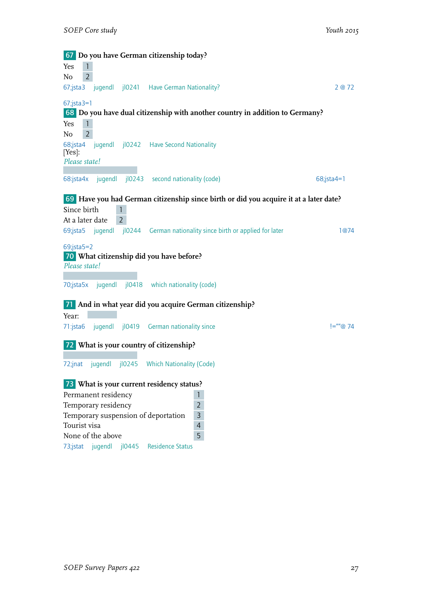| 67 Do you have German citizenship today?                                              |               |
|---------------------------------------------------------------------------------------|---------------|
| Yes                                                                                   |               |
| $\overline{2}$<br>No                                                                  |               |
| jugendl jl0241 Have German Nationality?<br>$67$ ; jsta3                               | 2@72          |
| $67$ ;jsta $3=1$                                                                      |               |
| 68 Do you have dual citizenship with another country in addition to Germany?          |               |
| $\mathbf{1}$<br>Yes<br>$\overline{2}$<br>No                                           |               |
| jugendl jl0242 Have Second Nationality<br>68;jsta4<br>[Yes]:                          |               |
| Please state!                                                                         |               |
| 68:jsta4x<br>jugendl<br>j10243<br>second nationality (code)                           | $68$ ;jsta4=1 |
| 69 Have you had German citizenship since birth or did you acquire it at a later date? |               |
| Since birth                                                                           |               |
| At a later date<br>$\overline{2}$                                                     |               |
| 69;jsta5 jugendl jl0244 German nationality since birth or applied for later           | 1@74          |
| $69$ ;jsta $5=2$                                                                      |               |
| 70 What citizenship did you have before?                                              |               |
| Please state!                                                                         |               |
| jugendl<br>jl0418 which nationality (code)<br>70;jsta5x                               |               |
| 71 And in what year did you acquire German citizenship?                               |               |
| Year:                                                                                 |               |
| jugendl jl0419 German nationality since<br>71:jsta6                                   | $I =$ ""@ 74  |
| 72 What is your country of citizenship?                                               |               |
| jl0245 Which Nationality (Code)<br>jugendl<br>$72$ ; inat                             |               |
| 73 What is your current residency status?                                             |               |
| Permanent residency<br>$\mathbf{1}$                                                   |               |
| Temporary residency<br>$\overline{2}$                                                 |               |
| $\overline{3}$<br>Temporary suspension of deportation                                 |               |
| $\overline{4}$<br>Tourist visa                                                        |               |
| 5<br>None of the above                                                                |               |
| 73;jstat jugendl jl0445<br><b>Residence Status</b>                                    |               |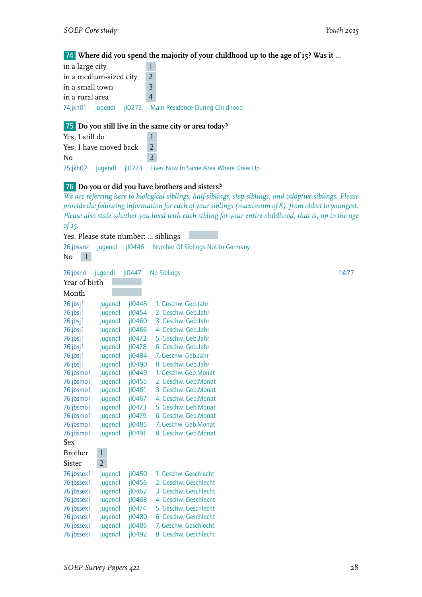#### 74 **Where did you spend the majority of your childhood up to the age of 15? Was it ...**

| in a large city        |                                                         |  |
|------------------------|---------------------------------------------------------|--|
| in a medium-sized city | $\mathcal{P}$                                           |  |
| in a small town        | 3                                                       |  |
| in a rural area        |                                                         |  |
|                        | 74;jkh01 jugendl jl0272 Main Residence During Childhood |  |

#### 75 **Do you still live in the same city or area today?**

Yes, I still do 1 Yes, I have moved back 2 No 3 75;jkh02 jugendl jl0273 Lives Now In Same Area Where Grew Up

#### 76 **Do you or did you have brothers and sisters?**

*We are referring here to biological siblings, half-siblings, step-siblings, and adoptive siblings. Please provide the following information for each of your siblings (maximum of 8), from oldest to youngest. Please also state whether you lived with each sibling for your entire childhood, that is, up to the age of 15.*

Yes. Please state number: … siblings

| 76:jbsanz<br>$\mathbf{1}$<br>N <sub>o</sub> | jugendl        | jl0446    | Number Of Siblings Not In Germany |      |
|---------------------------------------------|----------------|-----------|-----------------------------------|------|
| 76:jbsno                                    | jugendl        | jl0447    | No Siblings                       | 1@77 |
| Year of birth                               |                |           |                                   |      |
| Month                                       |                |           |                                   |      |
| $76$ :jbsj1                                 | jugendl        | jl0448    | 1. Geschw. Geb.Jahr               |      |
| $76$ :jbsj1                                 | jugendl        | $i$ l0454 | 2. Geschw. Geb.Jahr               |      |
| 76:jbsj1                                    | jugendl        | jl0460    | 3. Geschw. Geb.Jahr               |      |
| $76$ :jbsj1                                 | jugendl        | jl0466    | 4. Geschw. Geb.Jahr               |      |
| 76:jbsj1                                    | jugendl        | j10472    | 5. Geschw. Geb.Jahr               |      |
| 76:jbsj1                                    | jugendl        | $i$ l0478 | 6. Geschw. Geb.Jahr               |      |
| $76$ :jbsj1                                 | jugendl        | jl0484    | 7. Geschw. Geb.Jahr               |      |
| $76$ :jbsj1                                 | jugendl        | jl0490    | 8. Geschw. Geb.Jahr               |      |
| 76:jbsmo1                                   | jugendl        | jl0449    | 1. Geschw. Geb.Monat              |      |
| 76:jbsmo1                                   | jugendl        | jl0455    | 2. Geschw. Geb.Monat              |      |
| 76:jbsmo1                                   | jugendl        | $i$ l0461 | 3. Geschw. Geb.Monat              |      |
| 76:jbsmo1                                   | jugendl        | $i$ l0467 | 4. Geschw. Geb.Monat              |      |
| 76:jbsmo1                                   | jugendl        | $i$ l0473 | 5. Geschw. Geb.Monat              |      |
| 76:jbsmo1                                   | jugendl        | jl0479    | 6. Geschw. Geb.Monat              |      |
| 76:jbsmo1                                   | jugendl        | jl0485    | 7. Geschw. Geb.Monat              |      |
| 76:jbsmo1                                   | jugendl        | $i$ l0491 | 8. Geschw. Geb.Monat              |      |
| <b>Sex</b>                                  |                |           |                                   |      |
| <b>Brother</b>                              | $\mathbf{1}$   |           |                                   |      |
| Sister                                      | $\overline{2}$ |           |                                   |      |
| 76:jbssex1                                  | jugendl        | jl0450    | 1. Geschw. Geschlecht             |      |
| 76:jbssex1                                  | jugendl        | j10456    | 2. Geschw. Geschlecht             |      |
| 76:jbssex1                                  | jugendl        | $i$ l0462 | 3. Geschw. Geschlecht             |      |
| 76:jbssex1                                  | jugendl        | jl0468    | 4. Geschw. Geschlecht             |      |
| 76:jbssex1                                  | jugendl        | jl0474    | 5. Geschw. Geschlecht             |      |
| 76:jbssex1                                  | jugendl        | jl0480    | 6. Geschw. Geschlecht             |      |
| 76:jbssex1                                  | jugendl        | jl0486    | 7. Geschw. Geschlecht             |      |
| 76:jbssex1                                  | jugendl        | jl0492    | 8. Geschw. Geschlecht             |      |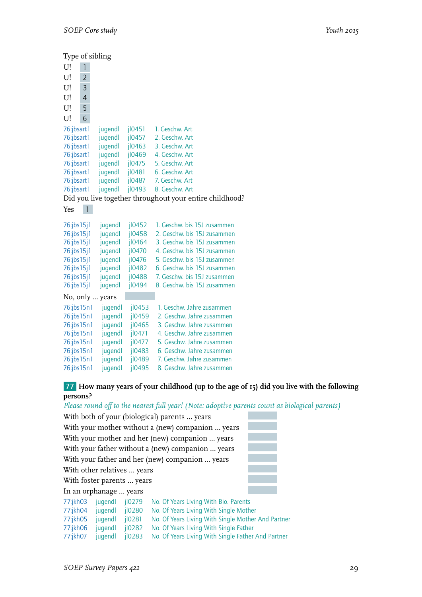|                      |                | Type of sibling |        |                                                         |
|----------------------|----------------|-----------------|--------|---------------------------------------------------------|
| U!                   | 1              |                 |        |                                                         |
| U!                   | $\overline{2}$ |                 |        |                                                         |
| U!                   | 3              |                 |        |                                                         |
| U!                   | 4              |                 |        |                                                         |
| U!                   | 5              |                 |        |                                                         |
| U!                   | 6              |                 |        |                                                         |
| 76:jbsart1           |                | jugendl         | j10451 | 1. Geschw. Art                                          |
| 76:jbsart1           |                | jugendl         | jl0457 | 2. Geschw. Art                                          |
| 76:jbsart1           |                | jugendl         | jl0463 | 3. Geschw. Art                                          |
| 76:jbsart1           |                | jugendl         | jl0469 | 4. Geschw. Art                                          |
| 76:jbsart1           |                | jugendl         | jl0475 | 5. Geschw. Art                                          |
| 76:jbsart1           |                | jugendl         | jl0481 | 6. Geschw. Art                                          |
| 76:jbsart1           |                | jugendl         | jl0487 | 7. Geschw. Art                                          |
| 76:jbsart1           |                | jugendl         | jl0493 | 8. Geschw. Art                                          |
|                      |                |                 |        | Did you live together throughout your entire childhood? |
| Yes                  | $\overline{1}$ |                 |        |                                                         |
| $76$ :jbs $15$ j $1$ |                | jugendl         | jl0452 | 1. Geschw. bis 15J zusammen                             |
| 76:jbs15j1           |                | jugendl         | jl0458 | 2. Geschw. bis 15J zusammen                             |
| $76$ :jbs $15$ j $1$ |                | jugendl         | jl0464 | 3. Geschw. bis 15J zusammen                             |
| $76$ :jbs $15$ j $1$ |                | jugendl         | jl0470 | 4. Geschw. bis 15J zusammen                             |
| $76$ :jbs $15$ j $1$ |                | jugendl         | jl0476 | 5. Geschw. bis 15J zusammen                             |
| $76$ :jbs $15$ j $1$ |                | jugendl         | jl0482 | 6. Geschw. bis 15J zusammen                             |
| $76$ :jbs $15$ j $1$ |                | jugendl         | jl0488 | 7. Geschw. bis 15J zusammen                             |
| $76$ :jbs $15$ j $1$ |                | jugendl         | jl0494 | 8. Geschw. bis 15J zusammen                             |
|                      |                | No, only  years |        |                                                         |
| 76:jbs15n1           |                | jugendl         | jl0453 | 1. Geschw. Jahre zusammen                               |
| 76:jbs15n1           |                | jugendl         | jl0459 | 2. Geschw. Jahre zusammen                               |
| 76:jbs15n1           |                | jugendl         | jl0465 | 3. Geschw. Jahre zusammen                               |
| 76:jbs15n1           |                | jugendl         | jl0471 | 4. Geschw. Jahre zusammen                               |
| 76:jbs15n1           |                | jugendl         | jl0477 | 5. Geschw. Jahre zusammen                               |
| 76:jbs15n1           |                | jugendl         | jl0483 | 6. Geschw. Jahre zusammen                               |
| 76:jbs15n1           |                | jugendl         | jl0489 | 7. Geschw. Jahre zusammen                               |
| 76:jbs15n1           |                | jugendl         | jl0495 | 8. Geschw. Jahre zusammen                               |

# 77 **How many years of your childhood (up to the age of 15) did you live with the following persons?**

*Please round off to the nearest full year! (Note: adoptive parents count as biological parents)*

|                                                   | With both of your (biological) parents  years                              |              |                                                    |  |  |  |  |  |
|---------------------------------------------------|----------------------------------------------------------------------------|--------------|----------------------------------------------------|--|--|--|--|--|
|                                                   | With your mother without a (new) companion  years                          |              |                                                    |  |  |  |  |  |
|                                                   | With your mother and her (new) companion  years                            |              |                                                    |  |  |  |  |  |
| With your father without a (new) companion  years |                                                                            |              |                                                    |  |  |  |  |  |
|                                                   |                                                                            |              | With your father and her (new) companion  years    |  |  |  |  |  |
| With other relatives  years                       |                                                                            |              |                                                    |  |  |  |  |  |
| With foster parents  years                        |                                                                            |              |                                                    |  |  |  |  |  |
| In an orphanage  years                            |                                                                            |              |                                                    |  |  |  |  |  |
| 77:jkh03                                          | jugendl                                                                    | $i$ lozzg    | No. Of Years Living With Bio. Parents              |  |  |  |  |  |
| 77:jkh04                                          | jugendl                                                                    | jl0280       | No. Of Years Living With Single Mother             |  |  |  |  |  |
| 77:jkh05                                          | jugendl                                                                    | 10281        | No. Of Years Living With Single Mother And Partner |  |  |  |  |  |
| 77:jkh06                                          | jugendl                                                                    | $i$ loz $82$ | No. Of Years Living With Single Father             |  |  |  |  |  |
| 77:jkh07                                          | No. Of Years Living With Single Father And Partner<br>$i$ loz83<br>jugendl |              |                                                    |  |  |  |  |  |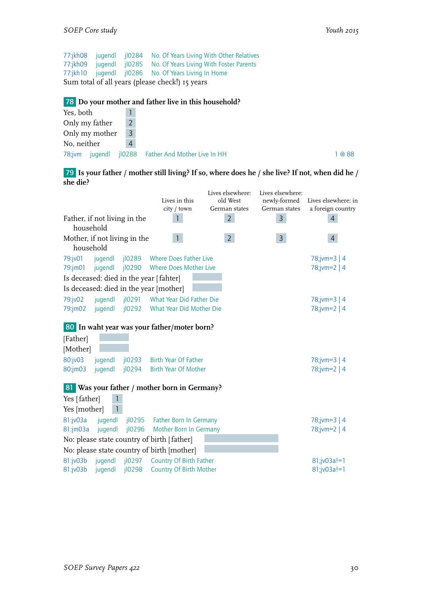77:jkh08 jugendl jl0284 No. Of Years Living With Other Relatives 77:jkh09 jugendl jl0285 No. Of Years Living With Foster Parents 77:jkh10 jugendl jl0286 No. Of Years Living In Home Sum total of all years (please check!) 15 years

#### 78 **Do your mother and father live in this household?**

| Yes, both   |                |                |                                             |
|-------------|----------------|----------------|---------------------------------------------|
|             | Only my father |                |                                             |
|             | Only my mother | 3              |                                             |
| No, neither |                | $\overline{4}$ |                                             |
| $78$ ; jvm  |                |                | jugendl jl0288 Father And Mother Live In HH |

79 **Is your father / mother still living? If so, where does he / she live? If not, when did he / she die?**

|              |                              |                       |                                              | Lives elsewhere: | Lives elsewhere: |                     |
|--------------|------------------------------|-----------------------|----------------------------------------------|------------------|------------------|---------------------|
|              |                              |                       | Lives in this                                | old West         | newly-formed     | Lives elsewhere: in |
|              |                              |                       | city / town                                  | German states    | German states    | a foreign country   |
| household    | Father, if not living in the |                       |                                              | $\overline{2}$   | $\mathsf{3}$     | $\overline{4}$      |
| household    | Mother, if not living in the |                       | $\mathbf{1}$                                 | $\overline{2}$   | $\overline{3}$   | $\overline{4}$      |
| 79:jv01      | jugendl                      | jl0289                | <b>Where Does Father Live</b>                |                  |                  | $78$ ; jvm=3   4    |
| 79:jm01      | jugendl                      | jl0290                | <b>Where Does Mother Live</b>                |                  |                  | $78$ ;jvm=2   4     |
|              |                              |                       | Is deceased: died in the year [fahter]       |                  |                  |                     |
|              |                              |                       | Is deceased: died in the year [mother]       |                  |                  |                     |
| 79:jv02      | jugendl                      | jl0291                | What Year Did Father Die                     |                  |                  | $78$ ; jvm=3   4    |
| 79:jm02      | jugendl                      | $i$ loz $92$          | What Year Did Mother Die                     |                  |                  | 78;jvm=2   4        |
|              |                              |                       | 80 In waht year was your father/moter born?  |                  |                  |                     |
| [Father]     |                              |                       |                                              |                  |                  |                     |
| [Mother]     |                              |                       |                                              |                  |                  |                     |
| 80:jv03      | jugendl                      | $i$ lozg $3$          | Birth Year Of Father                         |                  |                  | $78$ ; jvm=3   4    |
| 80:jm03      | jugendl                      | jl0294                | <b>Birth Year Of Mother</b>                  |                  |                  | 78;jvm=2   4        |
|              |                              |                       | 81 Was your father / mother born in Germany? |                  |                  |                     |
| Yes [father] |                              |                       |                                              |                  |                  |                     |
| Yes [mother] |                              |                       |                                              |                  |                  |                     |
| 81:jv03a     | jugendl                      | $i$ lo <sub>295</sub> | <b>Father Born In Germany</b>                |                  |                  | $78$ ; jvm=3   4    |
| 81:jm03a     | jugendl                      | jl0296                | Mother Born In Germany                       |                  |                  | 78;jvm=2   4        |
|              |                              |                       | No: please state country of birth [father]   |                  |                  |                     |
|              |                              |                       | No: please state country of birth [mother]   |                  |                  |                     |
| 81:jv03b     | jugendl                      | $i$ loz $97$          | <b>Country Of Birth Father</b>               |                  |                  | 81;jv03a!=1         |
| 81:jv03b     | jugendl                      | $i$ loz98             | <b>Country Of Birth Mother</b>               |                  |                  | 81;jv03a!=1         |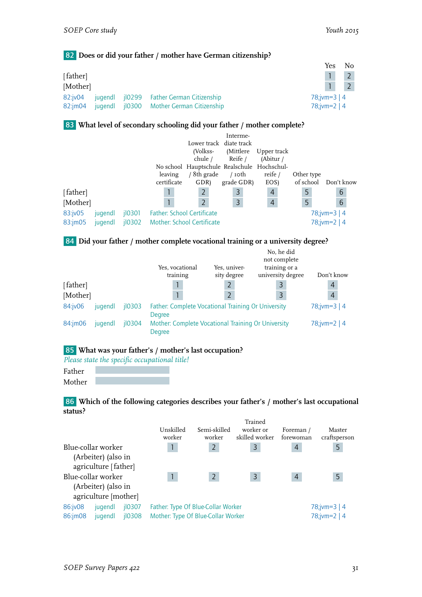#### 82 **Does or did your father / mother have German citizenship?**

|          |  |                                          | Yes              | No |
|----------|--|------------------------------------------|------------------|----|
| [father] |  |                                          |                  |    |
| [Mother] |  |                                          |                  |    |
| 82:iv04  |  | jugend jl0299 Father German Citizenship  | $78$ ; jvm=3   4 |    |
| 82:im04  |  | jugendl jl0300 Mother German Citizenship | 78; jvm=2   4    |    |

#### 83 **What level of secondary schooling did your father / mother complete?**

|          |         |                       |                                   |                                             | Interme-   |                |            |              |
|----------|---------|-----------------------|-----------------------------------|---------------------------------------------|------------|----------------|------------|--------------|
|          |         |                       |                                   | Lower track diate track                     |            |                |            |              |
|          |         |                       |                                   | (Volkss-                                    | (Mittlere  | Upper track    |            |              |
|          |         |                       |                                   | chule /                                     | Reife /    | (Abitur /      |            |              |
|          |         |                       |                                   | No school Hauptschule Realschule Hochschul- |            |                |            |              |
|          |         |                       | leaving                           | ' 8th grade                                 | $/$ roth   | reife /        | Other type |              |
|          |         |                       | certificate                       | GDR)                                        | grade GDR) | EOS)           | of school  | Don't know   |
| [father] |         |                       |                                   | $\overline{2}$                              | 3          | $\overline{4}$ | 5          | 6            |
| [Mother] |         |                       |                                   | $\overline{2}$                              | 3          | $\overline{4}$ | 5          | 6            |
| 83:jv05  | jugendl | 10301                 | <b>Father: School Certificate</b> |                                             |            |                |            | 78;jvm=3   4 |
| 83:jm05  | jugendl | $i$ lo <sub>302</sub> |                                   | Mother: School Certificate                  |            |                |            | 78;jvm=2   4 |

84 **Did your father / mother complete vocational training or a university degree?**

|          |         |                       |                                                    |              | No, he did        |                  |
|----------|---------|-----------------------|----------------------------------------------------|--------------|-------------------|------------------|
|          |         |                       |                                                    |              | not complete      |                  |
|          |         |                       | Yes, vocational                                    | Yes, univer- | training or a     |                  |
|          |         |                       | training                                           | sity degree  | university degree | Don't know       |
| [father] |         |                       |                                                    | 2            | $\overline{3}$    | $\overline{4}$   |
| [Mother] |         |                       |                                                    |              | 3                 | $\overline{4}$   |
| 84:jv06  | jugendl | $i$ lo <sub>303</sub> | Father: Complete Vocational Training Or University |              |                   | $78$ ; jvm=3   4 |
|          |         |                       | Degree                                             |              |                   |                  |
| 84:jm06  | jugendl | $i$ lo <sub>304</sub> | Mother: Complete Vocational Training Or University |              |                   | 78;jvm=2   4     |
|          |         |                       | Degree                                             |              |                   |                  |

# 85 **What was your father's / mother's last occupation?**

*Please state the specific occupational title!*

Father Mother

86 **Which of the following categories describes your father's / mother's last occupational status?**

|         |                      |           |                                    |                | Trained        |                |                 |
|---------|----------------------|-----------|------------------------------------|----------------|----------------|----------------|-----------------|
|         |                      |           | Unskilled                          | Semi-skilled   | worker or      | Foreman /      | Master          |
|         |                      |           | worker                             | worker         | skilled worker | forewoman      | craftsperson    |
|         | Blue-collar worker   |           |                                    | 2              | 3              | 4              | 5               |
|         | (Arbeiter) (also in  |           |                                    |                |                |                |                 |
|         | agriculture [father] |           |                                    |                |                |                |                 |
|         | Blue-collar worker   |           |                                    | $\overline{2}$ | 3              | $\overline{4}$ | 5               |
|         | (Arbeiter) (also in  |           |                                    |                |                |                |                 |
|         | agriculture [mother] |           |                                    |                |                |                |                 |
| 86:jv08 | jugendl              | $i$ lo307 | Father: Type Of Blue-Collar Worker |                |                |                | $78$ ;jvm=3   4 |
| 86:jm08 | jugendl              | jl0308    | Mother: Type Of Blue-Collar Worker |                |                |                | $78$ ;jvm=2   4 |
|         |                      |           |                                    |                |                |                |                 |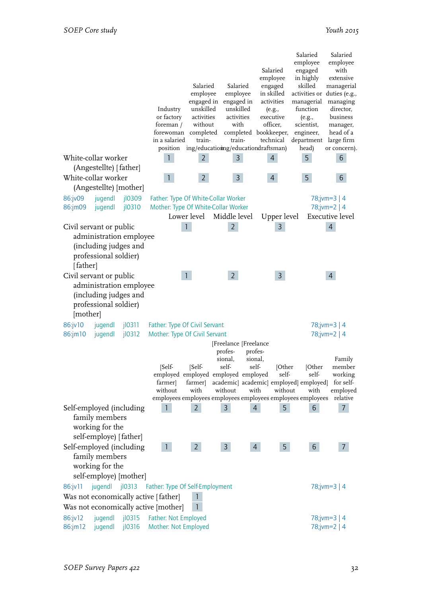|                                     | White-collar worker                                                                     |                        | Industry<br>or factory<br>foreman /<br>forewoman completed<br>in a salaried<br>position<br>1 | Salaried<br>employee<br>engaged in<br>unskilled<br>activities<br>without<br>train-<br>$\overline{2}$ | Salaried<br>employee<br>engaged in<br>unskilled<br>activities<br>with<br>train-<br>3                   | Salaried<br>employee<br>engaged<br>in skilled<br>activities<br>(e.g.,<br>executive<br>officer,<br>completed bookkeeper,<br>technical<br>ing/educatioing/educationdraftsman)<br>$\overline{4}$ | Salaried<br>employee<br>engaged<br>in highly<br>skilled<br>activities or duties (e.g.,<br>managerial<br>function<br>(e.g.,<br>scientist,<br>engineer,<br>department<br>head)<br>5 | Salaried<br>employee<br>with<br>extensive<br>managerial<br>managing<br>director,<br>business<br>manager,<br>head of a<br>large firm<br>or concern).<br>6 |
|-------------------------------------|-----------------------------------------------------------------------------------------|------------------------|----------------------------------------------------------------------------------------------|------------------------------------------------------------------------------------------------------|--------------------------------------------------------------------------------------------------------|-----------------------------------------------------------------------------------------------------------------------------------------------------------------------------------------------|-----------------------------------------------------------------------------------------------------------------------------------------------------------------------------------|----------------------------------------------------------------------------------------------------------------------------------------------------------|
|                                     | (Angestellte) [father]<br>White-collar worker                                           |                        | $\mathbf{1}$                                                                                 | $\overline{2}$                                                                                       | $\overline{3}$                                                                                         | $\overline{4}$                                                                                                                                                                                | 5                                                                                                                                                                                 | 6                                                                                                                                                        |
|                                     | (Angestellte) [mother]                                                                  |                        |                                                                                              |                                                                                                      |                                                                                                        |                                                                                                                                                                                               |                                                                                                                                                                                   |                                                                                                                                                          |
| 86:jv09<br>86:jm09                  | jugendl<br>jugendl                                                                      | jl0309<br>jl0310       | Father: Type Of White-Collar Worker<br>Mother: Type Of White-Collar Worker                   | Lower level                                                                                          | Middle level                                                                                           | Upper level                                                                                                                                                                                   |                                                                                                                                                                                   | $78$ ;jvm=3   4<br>$78$ ;jvm=2   4<br>Executive level                                                                                                    |
| Civil servant or public<br>[father] | administration employee<br>(including judges and<br>professional soldier)               |                        |                                                                                              | 1                                                                                                    | $\overline{2}$                                                                                         | 3                                                                                                                                                                                             |                                                                                                                                                                                   | 4                                                                                                                                                        |
| Civil servant or public<br>[mother] | administration employee<br>(including judges and<br>professional soldier)               |                        |                                                                                              |                                                                                                      | $2^{\circ}$                                                                                            | $\overline{3}$                                                                                                                                                                                |                                                                                                                                                                                   | 4                                                                                                                                                        |
| 86:jv10<br>86:jm10                  | jugendl<br>jugendl                                                                      | $j$ $l$ 0311<br>j10312 | Father: Type Of Civil Servant<br>Mother: Type Of Civil Servant                               |                                                                                                      |                                                                                                        |                                                                                                                                                                                               |                                                                                                                                                                                   | $78$ ;jvm=3   4<br>$78$ ;jvm=2   4                                                                                                                       |
|                                     |                                                                                         |                        | [Self-<br>farmerl<br>without                                                                 | [Self-<br>farmer]<br>with                                                                            | [Freelance [Freelance<br>profes-<br>sional,<br>self-<br>employed employed employed employed<br>without | profes-<br>sional,<br>self-<br>[Other<br>self-<br>academic  academic  employed  employed <br>with<br>without<br>employees employees employees employees employees employees                   | [Other<br>self-<br>with                                                                                                                                                           | Family<br>member<br>working<br>for self-<br>employed<br>relative                                                                                         |
|                                     | Self-employed (including<br>family members<br>working for the<br>self-employe) [father] |                        | 1                                                                                            | $\overline{2}$                                                                                       | 3                                                                                                      | 5<br>$\overline{4}$                                                                                                                                                                           | 6                                                                                                                                                                                 | $\overline{7}$                                                                                                                                           |
|                                     | Self-employed (including<br>family members<br>working for the<br>self-employe) [mother] |                        | $\mathbf{1}$                                                                                 | 2 <sup>1</sup>                                                                                       | $\mathsf{3}$                                                                                           | 5<br>$\overline{4}$                                                                                                                                                                           | 6                                                                                                                                                                                 | $\overline{7}$                                                                                                                                           |
| 86:jv11                             | jugendl                                                                                 | jl0313                 | Father: Type Of Self-Employment                                                              |                                                                                                      |                                                                                                        |                                                                                                                                                                                               |                                                                                                                                                                                   | 78;jvm=3   4                                                                                                                                             |
|                                     |                                                                                         |                        | Was not economically active [father]<br>Was not economically active [mother]                 | $\mathbf{1}$<br>1                                                                                    |                                                                                                        |                                                                                                                                                                                               |                                                                                                                                                                                   |                                                                                                                                                          |
| 86:jv12<br>86:jm12                  | jugendl<br>jugendl                                                                      | j10315<br>jl0316       | Father: Not Employed<br>Mother: Not Employed                                                 |                                                                                                      |                                                                                                        |                                                                                                                                                                                               |                                                                                                                                                                                   | 78;jvm=3   4<br>78;jvm= $2   4$                                                                                                                          |
|                                     |                                                                                         |                        |                                                                                              |                                                                                                      |                                                                                                        |                                                                                                                                                                                               |                                                                                                                                                                                   |                                                                                                                                                          |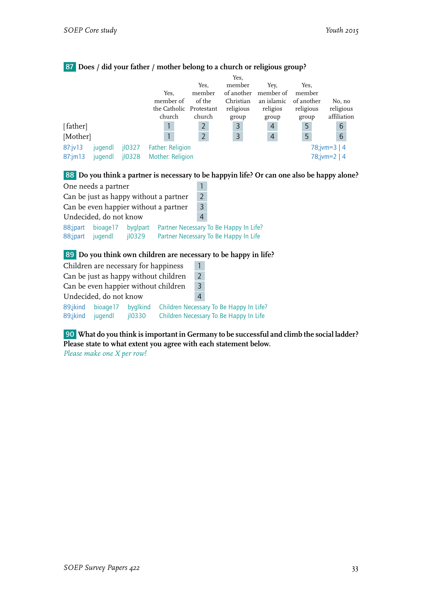|              |         |           |                         |                | Yes,       |                |            |              |
|--------------|---------|-----------|-------------------------|----------------|------------|----------------|------------|--------------|
|              |         |           |                         | Yes,           | member     | Yev.           | Yes,       |              |
|              |         |           | Yes.                    | member         | of another | member of      | member     |              |
|              |         |           | member of               | of the         | Christian  | an islamic     | of another | No, no       |
|              |         |           | the Catholic            | Protestant     | religious  | religios       | religious  | religious    |
|              |         |           | church                  | church         | group      | group          | group      | affiliation  |
| [father]     |         |           |                         | $\overline{2}$ | 3          | 4              | 5          | 6            |
| [Mother]     |         |           |                         | $\overline{2}$ | 3          | $\overline{4}$ | 5          | 6            |
| 87:jv13      | jugendl | $i$ l0327 | <b>Father: Religion</b> |                |            |                |            | 78;jvm=3   4 |
| $87$ : jm 13 | jugendl | jl0328    | Mother: Religion        |                |            |                |            | 78;jvm=2   4 |

# 87 **Does / did your father / mother belong to a church or religious group?**

# 88 **Do you think a partner is necessary to be happyin life? Or can one also be happy alone?**

|                                        | One needs a partner    |                    |  |   |                                                                                 |
|----------------------------------------|------------------------|--------------------|--|---|---------------------------------------------------------------------------------|
| Can be just as happy without a partner |                        |                    |  |   |                                                                                 |
| Can be even happier without a partner  |                        |                    |  |   |                                                                                 |
|                                        | Undecided, do not know |                    |  | 4 |                                                                                 |
| 88;jpart<br>88;jpart                   | bioage17<br>jugendl    | byglpart<br>jl0329 |  |   | Partner Necessary To Be Happy In Life?<br>Partner Necessary To Be Happy In Life |

# 89 **Do you think own children are necessary to be happy in life?**

| Children are necessary for happiness  |                        |                    |  |   |                                                                                   |
|---------------------------------------|------------------------|--------------------|--|---|-----------------------------------------------------------------------------------|
| Can be just as happy without children |                        |                    |  |   |                                                                                   |
| Can be even happier without children  |                        |                    |  |   |                                                                                   |
|                                       | Undecided, do not know |                    |  | 4 |                                                                                   |
| 89;jkind<br>89;jkind                  | bioage17<br>iugendl    | byglkind<br>jl0330 |  |   | Children Necessary To Be Happy In Life?<br>Children Necessary To Be Happy In Life |

90 **What do you think is important in Germany to be successful and climb the social ladder? Please state to what extent you agree with each statement below.**

*Please make one X per row!*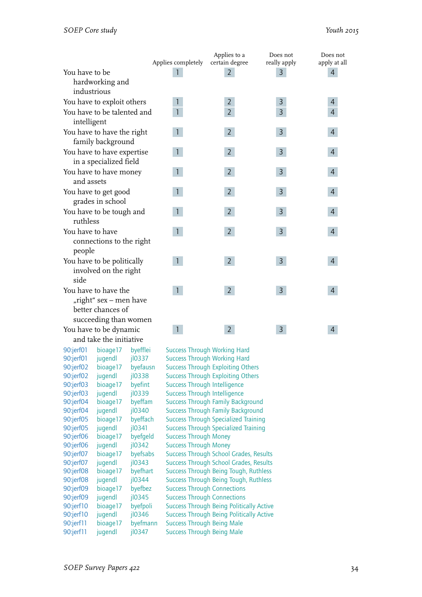|                                                                                              |                    | Applies to a                             | Does not       | Does not       |
|----------------------------------------------------------------------------------------------|--------------------|------------------------------------------|----------------|----------------|
|                                                                                              | Applies completely | certain degree                           | really apply   | apply at all   |
| You have to be                                                                               |                    | 2                                        | 3              | 4              |
| hardworking and                                                                              |                    |                                          |                |                |
| industrious                                                                                  |                    |                                          |                |                |
| You have to exploit others                                                                   | $\mathbf{1}$       | $\overline{2}$                           | 3              | 4              |
| You have to be talented and<br>intelligent                                                   | $\mathbf{1}$       | $\overline{2}$                           | 3              | $\overline{4}$ |
| You have to have the right<br>family background                                              | $\mathbf{1}$       | $\overline{2}$                           | $\mathsf{3}$   | 4              |
| You have to have expertise<br>in a specialized field                                         | $\mathbf{1}$       | $\overline{2}$                           | $\overline{3}$ | 4              |
| You have to have money<br>and assets                                                         | $\mathbf{1}$       | $\overline{2}$                           | $\overline{3}$ | 4              |
| You have to get good<br>grades in school                                                     | $\mathbf{1}$       | $\overline{2}$                           | $\mathsf{3}$   | 4              |
| You have to be tough and<br>ruthless                                                         |                    | $\overline{2}$                           | 3              | 4              |
| You have to have<br>connections to the right<br>people                                       | $\mathbf{1}$       | $\overline{2}$                           | $\overline{3}$ | 4              |
| You have to be politically<br>involved on the right<br>side                                  | $\mathbf{1}$       | $\overline{2}$                           | $\overline{3}$ | 4              |
| You have to have the<br>"right" sex - men have<br>better chances of<br>succeeding than women | $\mathbf{1}$       | $\overline{2}$                           | $\overline{3}$ | $\overline{4}$ |
| You have to be dynamic                                                                       | $\mathbf{1}$       | $\overline{2}$                           | $\overline{3}$ | 4              |
| and take the initiative                                                                      |                    |                                          |                |                |
| 90:jerf01<br>bioage17<br>byefflei                                                            |                    | <b>Success Through Working Hard</b>      |                |                |
| jl0337<br>90:jerf01<br>jugendl                                                               |                    | <b>Success Through Working Hard</b>      |                |                |
| 90:jerf02<br>byefausn<br>bioage17                                                            |                    | <b>Success Through Exploiting Others</b> |                |                |

| 90:jerf01 | jugendl  | $i$ l0337 | $\overline{\phantom{0}}$ |
|-----------|----------|-----------|--------------------------|
| 90:jerf02 | bioage17 | byefausn  | S                        |
| 90:jerf02 | jugendl  | jl0338    | $\overline{\phantom{0}}$ |
| 90:jerf03 | bioage17 | byefint   | S                        |
| 90:jerf03 | jugendl  | jl0339    | $\overline{\phantom{0}}$ |
| 90:jerf04 | bioage17 | byeffam   | S                        |
| 90:jerf04 | jugendl  | jl0340    | $\overline{\phantom{0}}$ |
| 90:jerf05 | bioage17 | byeffach  | Î                        |
| 90:jerf05 | jugendl  | jl0341    | S                        |
| 90:jerf06 | bioage17 | byefgeld  | S                        |
| 90:jerf06 | jugendl  | jl0342    | S                        |
| 90:jerf07 | bioage17 | byefsabs  | Î                        |
| 90:jerf07 | jugendl  | jl0343    | $\overline{\phantom{a}}$ |
| 90:jerf08 | bioage17 | byefhart  | S                        |
| 90:jerf08 | jugendl  | jl0344    | S                        |
| 90:jerf09 | bioage17 | byefbez   | S                        |
| 90:jerf09 | jugendl  | jl0345    | S                        |
| 90:jerf10 | bioage17 | byefpoli  | S                        |
| 90:jerf10 | jugendl  | jl0346    | Î                        |
| 90:jerf11 | bioage17 | byefmann  | S                        |
| 90:jerf11 | jugendl  | jl0347    | S                        |
|           |          |           |                          |

Success Through Exploiting Others Success Through Intelligence Success Through Intelligence Success Through Family Background Success Through Family Background Success Through Specialized Training Success Through Specialized Training Success Through Money Success Through Money **Success Through School Grades, Results** Success Through School Grades, Results **Success Through Being Tough, Ruthless** Success Through Being Tough, Ruthless **Success Through Connections Success Through Connections** Success Through Being Politically Active Success Through Being Politically Active Success Through Being Male Success Through Being Male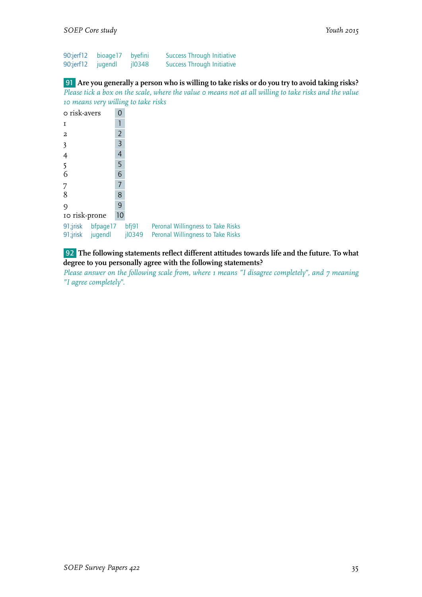| 90:jerf12 | bioage17 byefini |       | <b>Success Through Initiative</b> |
|-----------|------------------|-------|-----------------------------------|
| 90:jerf12 | jugendl          | 10348 | <b>Success Through Initiative</b> |

#### 91 **Are you generally a person who is willing to take risks or do you try to avoid taking risks?**

*Please tick a box on the scale, where the value 0 means not at all willing to take risks and the value 10 means very willing to take risks*

| o risk-avers                             | ი  |                 |                                                                        |
|------------------------------------------|----|-----------------|------------------------------------------------------------------------|
| T                                        |    |                 |                                                                        |
| $\overline{a}$                           | 2  |                 |                                                                        |
| $\overline{\mathbf{3}}$                  | 3  |                 |                                                                        |
| 4                                        | 4  |                 |                                                                        |
| 5                                        | 5  |                 |                                                                        |
| 6                                        | 6  |                 |                                                                        |
| 7                                        | 7  |                 |                                                                        |
| 8                                        | 8  |                 |                                                                        |
| $\circ$                                  | 9  |                 |                                                                        |
| 10 risk-prone                            | 10 |                 |                                                                        |
| 91;jrisk bfpage17<br>91;jrisk<br>jugendl |    | bf[9]<br>jl0349 | Peronal Willingness to Take Risks<br>Peronal Willingness to Take Risks |

#### 92 **The following statements reflect different attitudes towards life and the future. To what degree to you personally agree with the following statements?**

*Please answer on the following scale from, where 1 means "I disagree completely", and 7 meaning "I agree completely".*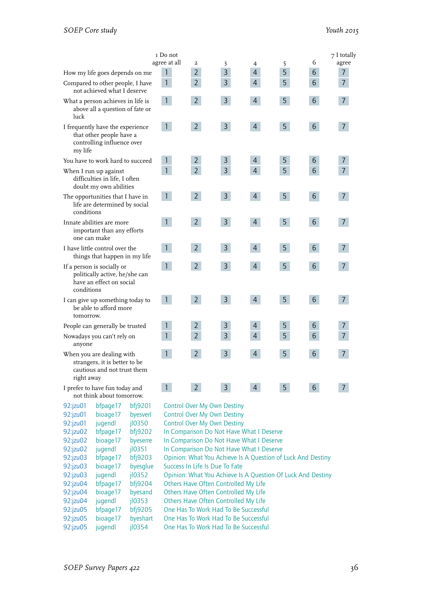|                                                                                                         |                                                                                            |                               | $\scriptstyle\rm I$ Do not                                                                                     |                                                             |                |                |   |                 | 7 I totally    |
|---------------------------------------------------------------------------------------------------------|--------------------------------------------------------------------------------------------|-------------------------------|----------------------------------------------------------------------------------------------------------------|-------------------------------------------------------------|----------------|----------------|---|-----------------|----------------|
|                                                                                                         |                                                                                            |                               | agree at all                                                                                                   | $\overline{\mathbf{c}}$                                     | 3              | 4              | 5 | 6               | agree          |
|                                                                                                         | How my life goes depends on me                                                             |                               | $\mathbf{1}$                                                                                                   | $\overline{2}$                                              | 3              | $\overline{4}$ | 5 | 6               | $\overline{7}$ |
|                                                                                                         | Compared to other people, I have<br>not achieved what I deserve                            |                               | $\mathbf{1}$                                                                                                   | $\overline{2}$                                              | 3              | $\overline{4}$ | 5 | 6               | $\overline{7}$ |
| luck                                                                                                    | What a person achieves in life is<br>above all a question of fate or                       |                               | $\mathbf{1}$                                                                                                   | $2^{\circ}$                                                 | $\mathsf{3}$   | $\overline{4}$ | 5 | $6\phantom{.}6$ | $\overline{7}$ |
| my life                                                                                                 | I frequently have the experience<br>that other people have a<br>controlling influence over |                               | $\mathbf{1}$                                                                                                   | 2 <sup>1</sup>                                              | $\mathsf{3}$   | $\overline{4}$ | 5 | $6\phantom{.}$  | $\overline{7}$ |
|                                                                                                         | You have to work hard to succeed                                                           |                               | $\mathbf{1}$                                                                                                   | $\overline{2}$                                              | 3              | $\overline{4}$ | 5 | 6               | 7              |
|                                                                                                         | When I run up against<br>difficulties in life, I often<br>doubt my own abilities           |                               | $\mathbf{1}$                                                                                                   | $\overline{2}$                                              | $\overline{3}$ | $\overline{4}$ | 5 | $6\phantom{1}$  | $\overline{7}$ |
| conditions                                                                                              | The opportunities that I have in<br>life are determined by social                          |                               | $\mathbf{1}$                                                                                                   | 2 <sup>1</sup>                                              | $\overline{3}$ | $\overline{4}$ | 5 | 6               | $\overline{7}$ |
| one can make                                                                                            | Innate abilities are more<br>important than any efforts                                    |                               | $\mathbf{1}$                                                                                                   | 2 <sup>1</sup>                                              | $\overline{3}$ | $\overline{4}$ | 5 | $6\overline{6}$ | $\overline{7}$ |
|                                                                                                         | I have little control over the<br>things that happen in my life                            |                               | $\mathbf{1}$                                                                                                   | $\overline{2}$                                              | $\overline{3}$ | $\overline{4}$ | 5 | $6\overline{6}$ | $\overline{7}$ |
| conditions                                                                                              | If a person is socially or<br>politically active, he/she can<br>have an effect on social   |                               | $\mathbf{1}$                                                                                                   | $2^{\circ}$                                                 | $\mathsf{3}$   | $\overline{4}$ | 5 | $6\phantom{.}6$ | $\overline{7}$ |
| I can give up something today to<br>be able to afford more<br>tomorrow.                                 |                                                                                            |                               | $\mathbf{1}$                                                                                                   | $\overline{2}$                                              | $\overline{3}$ | $\overline{4}$ | 5 | 6               | $\overline{7}$ |
|                                                                                                         | People can generally be trusted                                                            |                               | $\mathbf{1}$                                                                                                   | $\overline{2}$                                              | 3              | $\overline{4}$ | 5 | 6               | 7              |
| anyone                                                                                                  | Nowadays you can't rely on                                                                 |                               | $\mathbf{1}$                                                                                                   | $\overline{2}$                                              | 3              | $\overline{4}$ | 5 | 6               | $\overline{7}$ |
| When you are dealing with<br>strangers, it is better to be<br>cautious and not trust them<br>right away |                                                                                            |                               | $\mathbf{1}$                                                                                                   | $\overline{2}$                                              | $\mathsf{3}$   | 4              | 5 | $6\overline{6}$ | 7              |
|                                                                                                         | I prefer to have fun today and<br>not think about tomorrow.                                |                               | $\mathbf{1}$                                                                                                   | 2 <sup>1</sup>                                              | $\overline{3}$ | $\overline{4}$ | 5 | 6 <sup>1</sup>  | 7 <sup>1</sup> |
| 92:jzu01<br>92:jzu01<br>92:jzu01                                                                        | bfpage17<br>bioage17<br>jugendl                                                            | bfj9201<br>byesverl<br>jl0350 | <b>Control Over My Own Destiny</b><br><b>Control Over My Own Destiny</b><br><b>Control Over My Own Destiny</b> |                                                             |                |                |   |                 |                |
| 92:jzu02                                                                                                | bfpage17                                                                                   | bfj9202                       |                                                                                                                | In Comparison Do Not Have What I Deserve                    |                |                |   |                 |                |
| 92:jzu02                                                                                                | bioage17                                                                                   | byeserre                      |                                                                                                                | In Comparison Do Not Have What I Deserve                    |                |                |   |                 |                |
| 92:jzu02                                                                                                | jugendl                                                                                    | jl0351                        |                                                                                                                | In Comparison Do Not Have What I Deserve                    |                |                |   |                 |                |
| 92:jzu03                                                                                                | bfpage17                                                                                   | bf9203                        | Opinion: What You Achieve Is A Question of Luck And Destiny                                                    |                                                             |                |                |   |                 |                |
| 92:jzu03                                                                                                | bioage17                                                                                   | byesglue                      |                                                                                                                | Success In Life Is Due To Fate                              |                |                |   |                 |                |
| 92:jzu03                                                                                                | jugendl                                                                                    | jl0352                        |                                                                                                                | Opinion: What You Achieve Is A Question Of Luck And Destiny |                |                |   |                 |                |
| 92:jzu04                                                                                                | bfpage17                                                                                   | bfj9204                       |                                                                                                                | Others Have Often Controlled My Life                        |                |                |   |                 |                |
| 92:jzu04                                                                                                | bioage17                                                                                   | byesand                       |                                                                                                                | Others Have Often Controlled My Life                        |                |                |   |                 |                |
| 92:jzu04                                                                                                | jugendl                                                                                    | j10353                        |                                                                                                                | Others Have Often Controlled My Life                        |                |                |   |                 |                |
| 92:jzu05                                                                                                | bfpage17                                                                                   | bfj9205                       |                                                                                                                | One Has To Work Had To Be Successful                        |                |                |   |                 |                |
| 92:jzu05                                                                                                | bioage17                                                                                   | byeshart                      |                                                                                                                | One Has To Work Had To Be Successful                        |                |                |   |                 |                |
| 92:jzu05                                                                                                | jugendl                                                                                    | jl0354                        | One Has To Work Had To Be Successful                                                                           |                                                             |                |                |   |                 |                |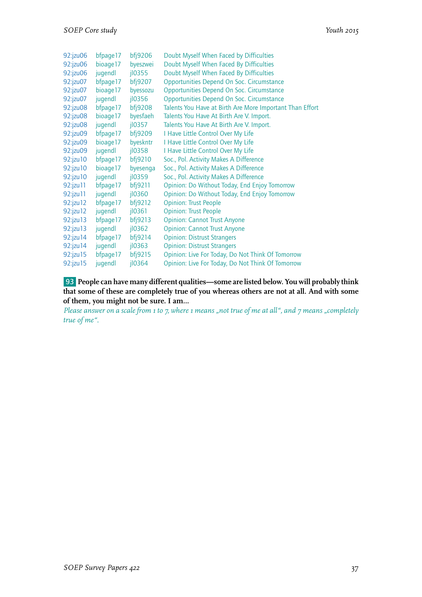| 92:jzu06   | bfpage17 | bf9206       | Doubt Myself When Faced by Difficulties                  |
|------------|----------|--------------|----------------------------------------------------------|
| 92:jzu06   | bioage17 | byeszwei     | Doubt Myself When Faced By Difficulties                  |
| 92:jzu06   | jugendl  | $j$ $l$ 0355 | Doubt Myself When Faced By Difficulties                  |
| 92:jzu07   | bfpage17 | bfj9207      | Opportunities Depend On Soc. Circumstance                |
| 92:jzu07   | bioage17 | byessozu     | Opportunities Depend On Soc. Circumstance                |
| 92:jzu07   | jugendl  | $i$ l0356    | Opportunities Depend On Soc. Circumstance                |
| 92:jzu08   | bfpage17 | bfj9208      | Talents You Have at Birth Are More Important Than Effort |
| 92:jzu08   | bioage17 | byesfaeh     | Talents You Have At Birth Are V. Import.                 |
| 92:jzu08   | jugendl  | j10357       | Talents You Have At Birth Are V. Import.                 |
| 92:jzu09   | bfpage17 | bfj9209      | I Have Little Control Over My Life                       |
| 92:jzu09   | bioage17 | byeskntr     | I Have Little Control Over My Life                       |
| 92:jzu09   | jugendl  | jl0358       | I Have Little Control Over My Life                       |
| 92:jzu10   | bfpage17 | bfj9210      | Soc., Pol. Activity Makes A Difference                   |
| 92:jzu10   | bioage17 | byesenga     | Soc., Pol. Activity Makes A Difference                   |
| 92:jzu10   | jugendl  | jl0359       | Soc., Pol. Activity Makes A Difference                   |
| 92:jzu11   | bfpage17 | bf9211       | Opinion: Do Without Today, End Enjoy Tomorrow            |
| 92:jzu11   | jugendl  | jl0360       | Opinion: Do Without Today, End Enjoy Tomorrow            |
| 92:jzu 12  | bfpage17 | bf9212       | <b>Opinion: Trust People</b>                             |
| 92:jzu 12  | jugendl  | jl0361       | <b>Opinion: Trust People</b>                             |
| 92:jzu 13  | bfpage17 | bf9213       | <b>Opinion: Cannot Trust Anyone</b>                      |
| 92:jzu 13  | jugendl  | $i$ l0362    | <b>Opinion: Cannot Trust Anyone</b>                      |
| 92:jzu14   | bfpage17 | bfj9214      | <b>Opinion: Distrust Strangers</b>                       |
| 92:jzu14   | jugendl  | $i$ l0363    | <b>Opinion: Distrust Strangers</b>                       |
| 92: jzu 15 | bfpage17 | bf 9215      | Opinion: Live For Today, Do Not Think Of Tomorrow        |
| 92:jzu 15  | jugendl  | jl0364       | Opinion: Live For Today, Do Not Think Of Tomorrow        |

93 **People can have many different qualities—some are listed below. You will probably think that some of these are completely true of you whereas others are not at all. And with some of them, you might not be sure. I am…**

*Please answer on a scale from 1 to 7, where 1 means "not true of me at all", and 7 means "completely true of me".*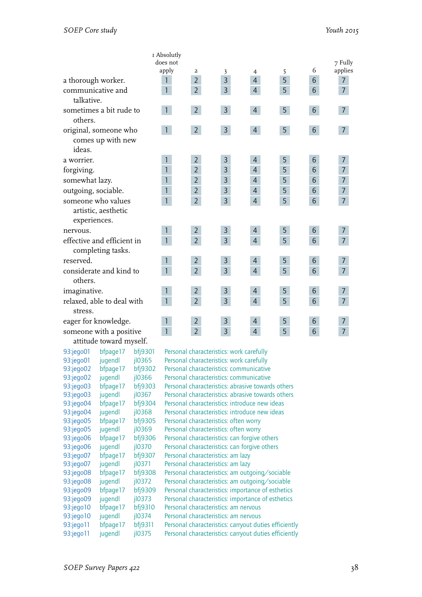|                                                           | I Absolutly    |                |                |                |                |                 |                |
|-----------------------------------------------------------|----------------|----------------|----------------|----------------|----------------|-----------------|----------------|
|                                                           | does not       |                |                |                |                |                 | 7 Fully        |
|                                                           | apply          | $\overline{a}$ | 3              | 4              | 5              | 6               | applies        |
| a thorough worker.                                        | 1              | $\overline{2}$ | 3              | $\overline{4}$ | 5              | 6               | $\overline{7}$ |
| communicative and<br>talkative.                           | $\mathbf{1}$   | $\overline{2}$ | $\overline{3}$ | $\overline{4}$ | 5              | 6               | $\overline{7}$ |
| sometimes a bit rude to<br>others.                        | $\mathbf{1}$   | $\overline{2}$ | $\overline{3}$ | $\overline{4}$ | 5              | $6\phantom{.}6$ | $\overline{7}$ |
| original, someone who<br>comes up with new<br>ideas.      | $\mathbf{1}$   | $\overline{2}$ | $\overline{3}$ | $\overline{4}$ | 5              | $6\phantom{.}$  | $\overline{7}$ |
| a worrier.                                                |                | $\overline{2}$ | 3              | 4              | 5              | 6               | $\overline{7}$ |
| forgiving.                                                | $\mathbf{1}$   | $\overline{2}$ | 3              | $\overline{4}$ | 5              | 6               | $\overline{7}$ |
| somewhat lazy.                                            | 1              | $\overline{2}$ | $\overline{3}$ | $\overline{4}$ | 5              | 6               | $\overline{7}$ |
| outgoing, sociable.                                       | $\mathbf{1}$   | $\overline{2}$ | $\overline{3}$ | 4              | 5              | 6               | $\overline{7}$ |
| someone who values<br>artistic, aesthetic<br>experiences. | $\mathbf{1}$   | $\overline{2}$ | $\overline{3}$ | $\overline{4}$ | 5              | $6\phantom{1}6$ | $\overline{7}$ |
| nervous.                                                  | $\mathbf{1}$   | $\overline{2}$ | 3              | 4              | 5              | 6               | 7              |
| effective and efficient in<br>completing tasks.           | $\overline{1}$ | $\overline{2}$ | $\overline{3}$ | $\overline{4}$ | $\overline{5}$ | 6               | $\overline{7}$ |
| reserved.                                                 | $\mathbf{1}$   | $\overline{2}$ | $\mathsf{3}$   | $\overline{4}$ | 5              | 6               | $\overline{7}$ |
| considerate and kind to<br>others.                        | $\overline{1}$ | $\overline{2}$ | $\overline{3}$ | $\overline{4}$ | 5              | 6               | $\overline{7}$ |
| imaginative.                                              | $\mathbf{1}$   | $\overline{2}$ | $\mathsf{3}$   | $\overline{4}$ | 5              | 6               | 7              |
| relaxed, able to deal with<br>stress.                     | $\overline{1}$ | $\overline{2}$ | $\overline{3}$ | $\overline{4}$ | $\overline{5}$ | 6               | $\overline{7}$ |
| eager for knowledge.                                      | $\mathbf{1}$   | $\overline{2}$ | $\mathsf{3}$   | $\overline{4}$ | 5              | 6               | $\overline{7}$ |
| someone with a positive<br>attitude toward myself.        | $\mathbf{1}$   | $\overline{2}$ | $\overline{3}$ | $\overline{4}$ | 5              | 6               | $\overline{7}$ |

93:jego05 bfpage17 bfj9305 Personal characteristics: often worry 93:jego05 jugendl jl0369 Personal characteristics: often worry<br>93:jego06 bfpage17 bfj9306 Personal characteristics: can forgive 93:jego07 bfpage17 bfj9307 Personal characteristics: am lazy 93:jego07 jugendl jl0371 Personal characteristics: am lazy<br>93:jego08 bfpage17 bfj9308 Personal characteristics: am outg 93:jego10 bfpage17 bfj9310 Personal characteristics: am nervous<br>93:jego10 jugendl jl0374 Personal characteristics: am nervous 93:jego10 jugendl jl0374 Personal characteristics: am nervous<br>93:jego11 bfpage17 bfj9311 Personal characteristics: carrvout du

93:jego01 bfpage17 bfj9301 Personal characteristics: work carefully<br>93:jego01 jugendl jl0365 Personal characteristics: work carefully 93:jego01 jugendl jl0365 Personal characteristics: work carefully<br>93:jego02 bfpage17 bfj9302 Personal characteristics: communicative 93:jego02 bfpage17 bfj9302 Personal characteristics: communicative<br>93:jego02 jugendl jl0366 Personal characteristics: communicative Personal characteristics: communicative 93:jego03 bfpage17 bfj9303 Personal characteristics: abrasive towards others 93:jego03 jugendl jl0367 Personal characteristics: abrasive towards others 93:jego04 bfpage17 bfj9304 Personal characteristics: introduce new ideas 93:jego04 jugendl jl0368 Personal characteristics: introduce new ideas 93:jego06 bfpage17 bfj9306 Personal characteristics: can forgive others<br>93:jego06 jugendl jl0370 Personal characteristics: can forgive others Personal characteristics: can forgive others bfj9308 Personal characteristics: am outgoing/sociable 93:jego08 jugendl jl0372 Personal characteristics: am outgoing/sociable 93:jego09 bfpage17 bfj9309 Personal characteristics: importance of esthetics 93:jego09 jugendl jl0373 Personal characteristics: importance of esthetics bfpage17 bfi9311 Personal characteristics: carryout duties efficiently 93:jego11 jugendl jl0375 Personal characteristics: carryout duties efficiently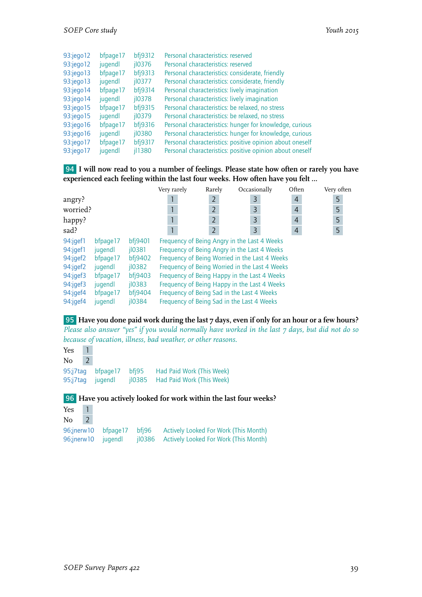| 93:jego12       | bfpage17 | bf9312         | Personal characteristics: reserved                       |
|-----------------|----------|----------------|----------------------------------------------------------|
| 93:jego12       | jugendl  | $i$ l0376      | Personal characteristics: reserved                       |
| 93:jego13       | bfpage17 | bf9313         | Personal characteristics: considerate, friendly          |
| 93:jego13       | jugendl  | $i$ l0377      | Personal characteristics: considerate, friendly          |
| 93:jego14       | bfpage17 | bf9314         | Personal characteristics: lively imagination             |
| $93$ :jego $14$ | jugendl  | $i$ l0378      | Personal characteristics: lively imagination             |
| $93$ : jego 15  | bfpage17 | bf9315         | Personal characteristics: be relaxed, no stress          |
| 93:jego15       | jugendl  | $i$ lo379      | Personal characteristics: be relaxed, no stress          |
| $93$ : jego 16  | bfpage17 | bf9316         | Personal characteristics: hunger for knowledge, curious  |
| $93$ :jego $16$ | jugendl  | jl0380         | Personal characteristics: hunger for knowledge, curious  |
| 93:jego17       | bfpage17 | <b>bfj9317</b> | Personal characteristics: positive opinion about oneself |
| $93$ : jego 17  | jugendl  | jl1380         | Personal characteristics: positive opinion about oneself |

94 **I will now read to you a number of feelings. Please state how often or rarely you have experienced each feeling within the last four weeks. How often have you felt …**

|          |           |                      | Very rarely                                    | Rarely         |  | Occasionally | Often          | Very often |
|----------|-----------|----------------------|------------------------------------------------|----------------|--|--------------|----------------|------------|
| angry?   |           |                      |                                                | $\overline{2}$ |  | 3            | $\overline{4}$ | 5          |
| worried? |           |                      |                                                | $\overline{2}$ |  | 3            | $\overline{4}$ | 5          |
| happy?   |           |                      |                                                | $\overline{2}$ |  | 3            | $\overline{4}$ | 5          |
| sad?     |           |                      |                                                | $\overline{2}$ |  | 3            | $\overline{4}$ | 5          |
| 94:jgef1 | bfpage 17 | bfi9401              | Frequency of Being Angry in the Last 4 Weeks   |                |  |              |                |            |
| 94:jgef1 | jugendl   | $i$ <sub>10381</sub> | Frequency of Being Angry in the Last 4 Weeks   |                |  |              |                |            |
| 94:jgef2 | bfpage17  | bfi9402              | Frequency of Being Worried in the Last 4 Weeks |                |  |              |                |            |
| 94:jqef2 | jugendl   | $i$ l0382            | Frequency of Being Worried in the Last 4 Weeks |                |  |              |                |            |
| 94:jqef3 | bfpage17  | bf9403               | Frequency of Being Happy in the Last 4 Weeks   |                |  |              |                |            |
| 94:jgef3 | jugendl   | $i$ 10383            | Frequency of Being Happy in the Last 4 Weeks   |                |  |              |                |            |
| 94:jgef4 | bfpage 17 | bf9404               | Frequency of Being Sad in the Last 4 Weeks     |                |  |              |                |            |
| 94:jgef4 | jugendl   | $i$ lo384            | Frequency of Being Sad in the Last 4 Weeks     |                |  |              |                |            |

95 **Have you done paid work during the last 7 days, even if only for an hour or a few hours?** *Please also answer "yes" if you would normally have worked in the last 7 days, but did not do so because of vacation, illness, bad weather, or other reasons.*

Yes 1 No 2 95;j7tag bfpage17 bfj95 Had Paid Work (This Week)<br>95;j7tag jugendl jl0385 Had Paid Work (This Week) jl0385 Had Paid Work (This Week)

96 **Have you actively looked for work within the last four weeks?**

| Yes    | $\blacksquare$ |                    |                                                                 |
|--------|----------------|--------------------|-----------------------------------------------------------------|
| $No$ 2 |                |                    |                                                                 |
|        |                |                    | 96;jnerw10 bfpage17 bfj96 Actively Looked For Work (This Month) |
|        |                | 96;jnerw10 jugendl | il0386 Actively Looked For Work (This Month)                    |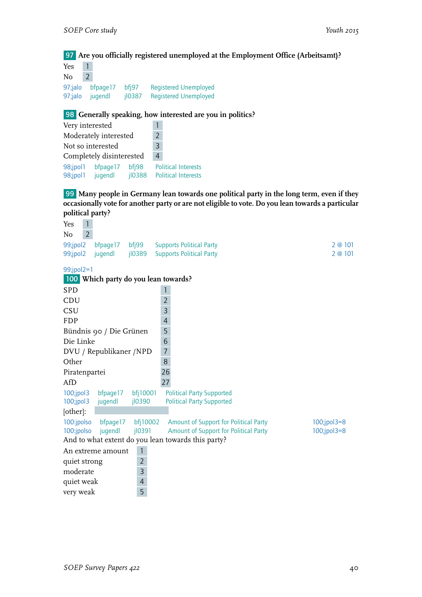#### 97 **Are you officially registered unemployed at the Employment Office (Arbeitsamt)?**

| Yes     | 1                           |                               |                                                              |
|---------|-----------------------------|-------------------------------|--------------------------------------------------------------|
| No      | 2                           |                               |                                                              |
| 97;jalo | 97;jalo bfpage17<br>jugendl | bfi97<br>$i$ <sub>10387</sub> | <b>Registered Unemployed</b><br><b>Registered Unemployed</b> |

#### 98 **Generally speaking, how interested are you in politics?**

| Very interested      |                          |                       |  |                                                          |
|----------------------|--------------------------|-----------------------|--|----------------------------------------------------------|
|                      | Moderately interested    | $\mathcal{P}$         |  |                                                          |
|                      | Not so interested        | $\overline{3}$        |  |                                                          |
|                      | Completely disinterested | 4                     |  |                                                          |
| 98;jpol1<br>98;jpol1 | bfpage17<br>jugendl      | $b$ fj $98$<br>jl0388 |  | <b>Political Interests</b><br><b>Political Interests</b> |

99 **Many people in Germany lean towards one political party in the long term, even if they occasionally vote for another party or are not eligible to vote. Do you lean towards a particular political party?**

| Yes           | 1                       |                |                                                    |                   |
|---------------|-------------------------|----------------|----------------------------------------------------|-------------------|
| No            | $\overline{2}$          |                |                                                    |                   |
| 99;jpol2      | bfpage17                | bfig99         | <b>Supports Political Party</b>                    | 2@101             |
| 99;jpol2      | jugendl                 | jl0389         | <b>Supports Political Party</b>                    | 2 @ 101           |
|               |                         |                |                                                    |                   |
| $99$ ;jpol2=1 |                         |                | 100 Which party do you lean towards?               |                   |
| <b>SPD</b>    |                         |                | 1                                                  |                   |
| CDU           |                         |                | $\overline{2}$                                     |                   |
| <b>CSU</b>    |                         |                | $\overline{3}$                                     |                   |
| <b>FDP</b>    |                         |                | 4                                                  |                   |
|               | Bündnis 90 / Die Grünen |                | 5                                                  |                   |
| Die Linke     |                         |                | 6                                                  |                   |
|               | DVU / Republikaner /NPD |                | $\overline{7}$                                     |                   |
| Other         |                         |                | 8                                                  |                   |
| Piratenpartei |                         |                | 26                                                 |                   |
| AfD           |                         |                | 27                                                 |                   |
| 100;jpol3     | bfpage17                | bfj10001       | <b>Political Party Supported</b>                   |                   |
| $100$ ;jpol3  | jugendl                 | jl0390         | <b>Political Party Supported</b>                   |                   |
| [other]:      |                         |                |                                                    |                   |
| 100:jpolso    | bfpage17                | bfj10002       | Amount of Support for Political Party              | $100$ ;jpol $3=8$ |
| 100:jpolso    | jugendl                 | jl0391         | Amount of Support for Political Party              | $100$ ;jpol $3=8$ |
|               |                         |                | And to what extent do you lean towards this party? |                   |
|               | An extreme amount       | $\mathbf{1}$   |                                                    |                   |
| quiet strong  |                         | $\overline{2}$ |                                                    |                   |
| moderate      |                         | 3              |                                                    |                   |
| quiet weak    |                         | $\overline{4}$ |                                                    |                   |
| very weak     |                         | 5              |                                                    |                   |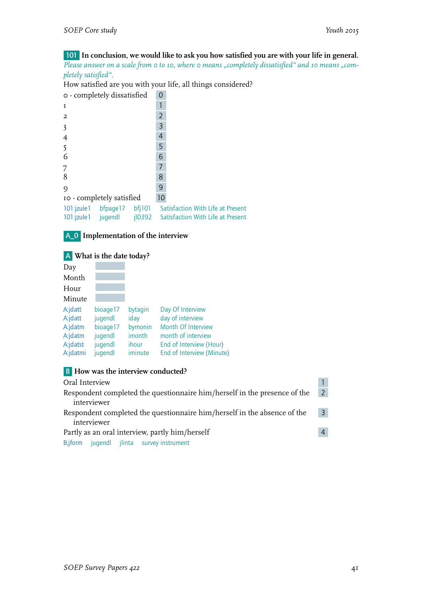# 101 **In conclusion, we would like to ask you how satisfied you are with your life in general.**

Please answer on a scale from 0 to 10, where 0 means "completely dissatisfied" and 10 means "com*pletely satisfied".*

How satisfied are you with your life, all things considered?

| o - completely dissatisfied                                      | 0                                                                      |
|------------------------------------------------------------------|------------------------------------------------------------------------|
| $\mathbf{I}$                                                     |                                                                        |
| $\overline{a}$                                                   | 2                                                                      |
| $\overline{\mathbf{3}}$                                          | 3                                                                      |
| $\overline{4}$                                                   | 4                                                                      |
| 5                                                                | 5                                                                      |
| 6                                                                | 6                                                                      |
| 7                                                                | 7                                                                      |
| 8                                                                | 8                                                                      |
| 9                                                                | 9                                                                      |
| 10 - completely satisfied                                        | 10                                                                     |
| bf 101<br>101:jzule1 bfpage17<br>101:jzule1 jugendl<br>$i$ lo392 | Satisfaction With Life at Present<br>Satisfaction With Life at Present |



#### A **What is the date today?**

| Day      |          |         |                           |
|----------|----------|---------|---------------------------|
| Month    |          |         |                           |
| Hour     |          |         |                           |
| Minute   |          |         |                           |
| A:jdatt  | bioage17 | bytagin | Day Of Interview          |
| A:jdatt  | jugendl  | iday    | day of interview          |
| A:jdatm  | bioage17 | bymonin | Month Of Interview        |
| A:jdatm  | jugendl  | imonth  | month of interview        |
| A:jdatst | jugendl  | ihour   | End of Interview (Hour)   |
| A:jdatmi | jugendl  | iminute | End of Interview (Minute) |

# **B How was the interview conducted?**

| Oral Interview                                                                 |  |  |
|--------------------------------------------------------------------------------|--|--|
| Respondent completed the questionnaire him/herself in the presence of the      |  |  |
| interviewer                                                                    |  |  |
| Respondent completed the questionnaire him/herself in the absence of the<br>-3 |  |  |
| interviewer                                                                    |  |  |
| Partly as an oral interview, partly him/herself                                |  |  |
| jugendl jlinta survey instrument<br>B;jform                                    |  |  |